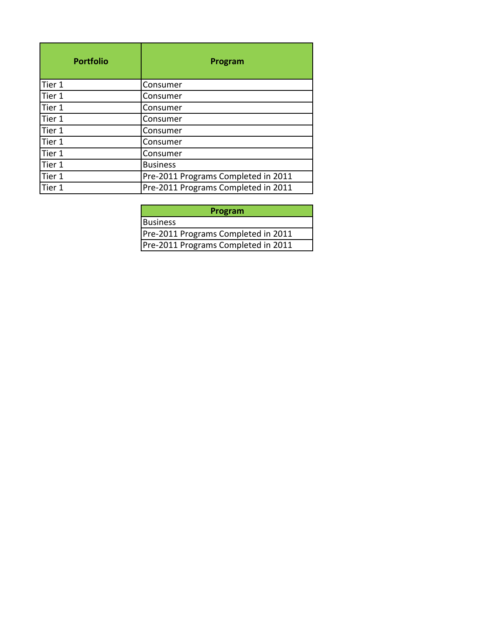| <b>Portfolio</b> | Program                             |
|------------------|-------------------------------------|
| Tier 1           | Consumer                            |
| Tier 1           | Consumer                            |
| Tier 1           | Consumer                            |
| Tier 1           | Consumer                            |
| Tier 1           | Consumer                            |
| Tier 1           | Consumer                            |
| Tier 1           | Consumer                            |
| Tier 1           | <b>Business</b>                     |
| Tier 1           | Pre-2011 Programs Completed in 2011 |
| Tier 1           | Pre-2011 Programs Completed in 2011 |

| Program                             |
|-------------------------------------|
| Business                            |
| Pre-2011 Programs Completed in 2011 |
| Pre-2011 Programs Completed in 2011 |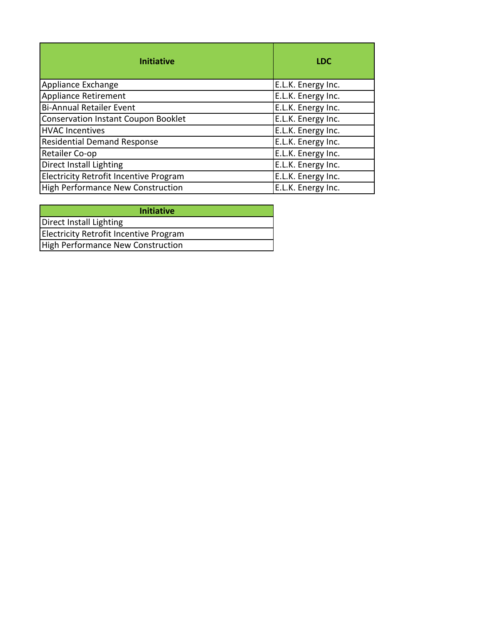| <b>Initiative</b>                             | <b>LDC</b>         |
|-----------------------------------------------|--------------------|
| Appliance Exchange                            | E.L.K. Energy Inc. |
| <b>Appliance Retirement</b>                   | E.L.K. Energy Inc. |
| <b>Bi-Annual Retailer Event</b>               | E.L.K. Energy Inc. |
| <b>Conservation Instant Coupon Booklet</b>    | E.L.K. Energy Inc. |
| <b>HVAC Incentives</b>                        | E.L.K. Energy Inc. |
| <b>Residential Demand Response</b>            | E.L.K. Energy Inc. |
| Retailer Co-op                                | E.L.K. Energy Inc. |
| Direct Install Lighting                       | E.L.K. Energy Inc. |
| <b>Electricity Retrofit Incentive Program</b> | E.L.K. Energy Inc. |
| <b>High Performance New Construction</b>      | E.L.K. Energy Inc. |

| <b>Initiative</b>                        |
|------------------------------------------|
| Direct Install Lighting                  |
| Electricity Retrofit Incentive Program   |
| <b>High Performance New Construction</b> |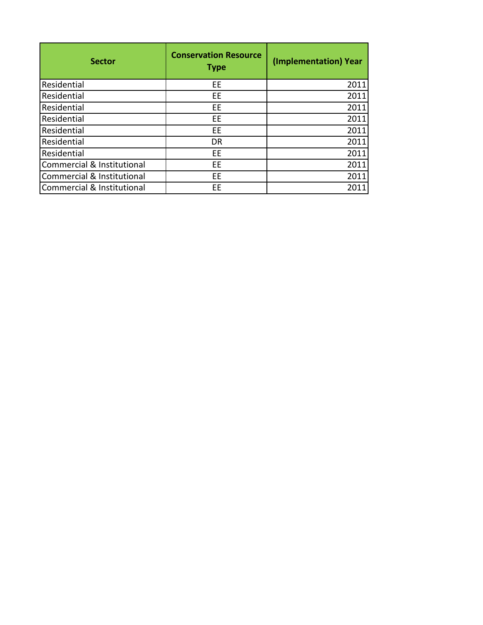| <b>Sector</b>              | <b>Conservation Resource</b><br><b>Type</b> | (Implementation) Year |
|----------------------------|---------------------------------------------|-----------------------|
| Residential                | EE                                          | 2011                  |
| Residential                | EE                                          | 2011                  |
| Residential                | EE                                          | 2011                  |
| Residential                | EE                                          | 2011                  |
| Residential                | ЕE                                          | 2011                  |
| Residential                | <b>DR</b>                                   | 2011                  |
| Residential                | EE                                          | 2011                  |
| Commercial & Institutional | ЕE                                          | 2011                  |
| Commercial & Institutional | ЕE                                          | 2011                  |
| Commercial & Institutional | EE                                          | 2011                  |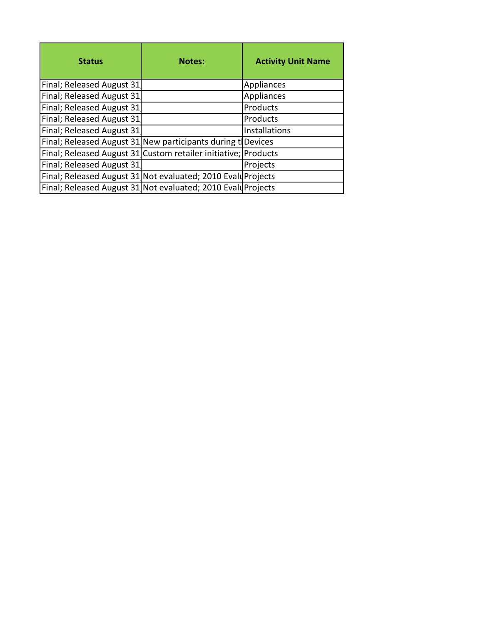| <b>Status</b>                                                  | <b>Notes:</b> | <b>Activity Unit Name</b> |
|----------------------------------------------------------------|---------------|---------------------------|
| Final; Released August 31                                      |               | Appliances                |
| Final; Released August 31                                      |               | Appliances                |
| Final; Released August 31                                      |               | Products                  |
| Final; Released August 31                                      |               | Products                  |
| Final; Released August 31                                      |               | <b>Installations</b>      |
| Final; Released August 31 New participants during t Devices    |               |                           |
| Final; Released August 31 Custom retailer initiative; Products |               |                           |
| Final; Released August 31                                      |               | Projects                  |
| Final; Released August 31 Not evaluated; 2010 Evalu Projects   |               |                           |
| Final; Released August 31 Not evaluated; 2010 Evalu Projects   |               |                           |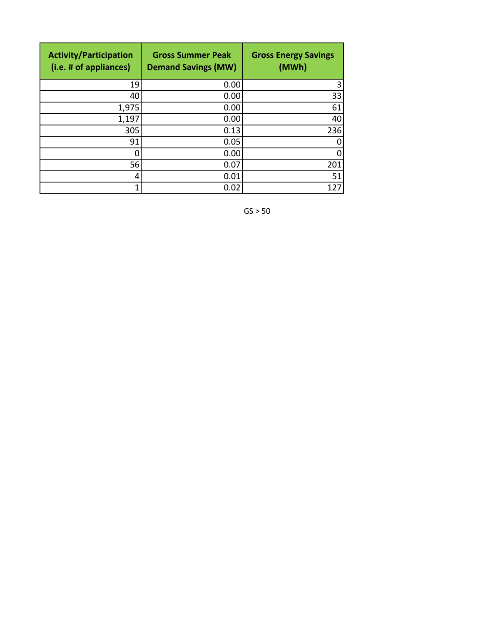| <b>Activity/Participation</b><br>(i.e. # of appliances) | <b>Gross Summer Peak</b><br><b>Demand Savings (MW)</b> | <b>Gross Energy Savings</b><br>(MWh) |
|---------------------------------------------------------|--------------------------------------------------------|--------------------------------------|
| 19                                                      | 0.00                                                   | 3                                    |
| 40                                                      | 0.00                                                   | 33                                   |
| 1,975                                                   | 0.00                                                   | 61                                   |
| 1,197                                                   | 0.00                                                   | 40                                   |
| 305                                                     | 0.13                                                   | 236                                  |
| 91                                                      | 0.05                                                   | 0                                    |
|                                                         | 0.00                                                   | 0                                    |
| 56                                                      | 0.07                                                   | 201                                  |
| 4                                                       | 0.01                                                   | 51                                   |
|                                                         | 0.02                                                   |                                      |

 $GS > 50$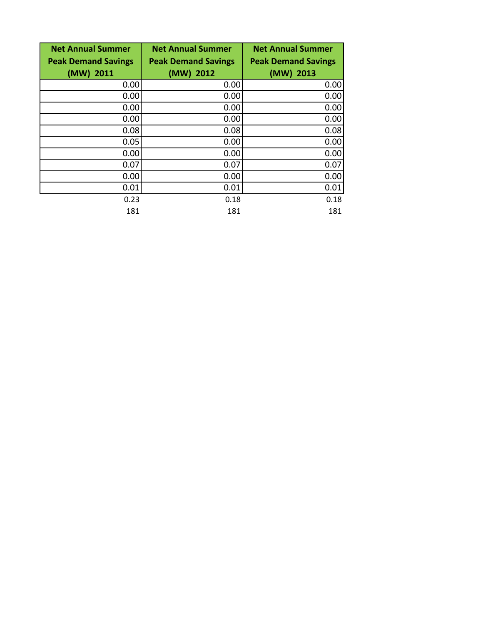| <b>Net Annual Summer</b><br><b>Peak Demand Savings</b> | <b>Net Annual Summer</b><br><b>Peak Demand Savings</b> | <b>Net Annual Summer</b><br><b>Peak Demand Savings</b> |
|--------------------------------------------------------|--------------------------------------------------------|--------------------------------------------------------|
| (MW) 2011                                              | $(MW)$ 2012                                            | (MW) 2013                                              |
| 0.00                                                   | 0.00                                                   | 0.00                                                   |
| 0.00                                                   | 0.00                                                   | 0.00                                                   |
| 0.00                                                   | 0.00                                                   | 0.00                                                   |
| 0.00                                                   | 0.00                                                   | 0.00                                                   |
| 0.08                                                   | 0.08                                                   | 0.08                                                   |
| 0.05                                                   | 0.00                                                   | 0.00                                                   |
| 0.00                                                   | 0.00                                                   | 0.00                                                   |
| 0.07                                                   | 0.07                                                   | 0.07                                                   |
| 0.00                                                   | 0.00                                                   | 0.00                                                   |
| 0.01                                                   | 0.01                                                   | 0.01                                                   |
| 0.23                                                   | 0.18                                                   | 0.18                                                   |
| 181                                                    | 181                                                    | 181                                                    |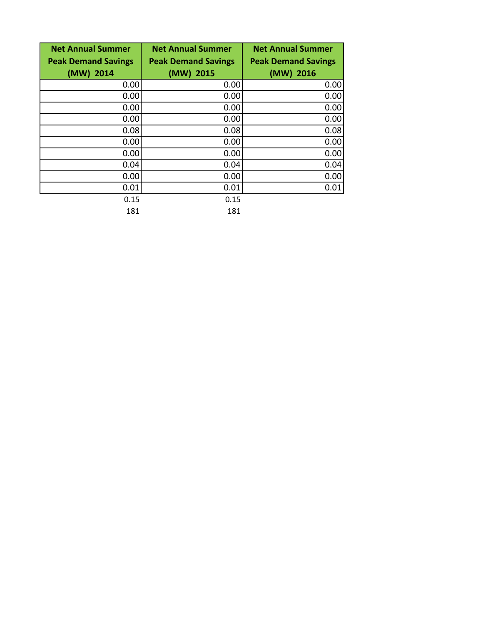| <b>Net Annual Summer</b><br><b>Peak Demand Savings</b> | <b>Net Annual Summer</b><br><b>Peak Demand Savings</b> | <b>Net Annual Summer</b><br><b>Peak Demand Savings</b> |
|--------------------------------------------------------|--------------------------------------------------------|--------------------------------------------------------|
| (MW) 2014                                              | $(MW)$ 2015                                            | (MW) 2016                                              |
| 0.00                                                   | 0.00                                                   | 0.00                                                   |
| 0.00                                                   | 0.00                                                   | 0.00                                                   |
| 0.00                                                   | 0.00                                                   | 0.00                                                   |
| 0.00                                                   | 0.00                                                   | 0.00                                                   |
| 0.08                                                   | 0.08                                                   | 0.08                                                   |
| 0.00                                                   | 0.00                                                   | 0.00                                                   |
| 0.00                                                   | 0.00                                                   | 0.00                                                   |
| 0.04                                                   | 0.04                                                   | 0.04                                                   |
| 0.00                                                   | 0.00                                                   | 0.00                                                   |
| 0.01                                                   | 0.01                                                   | 0.01                                                   |
| 0.15                                                   | 0.15                                                   |                                                        |
| 181                                                    | 181                                                    |                                                        |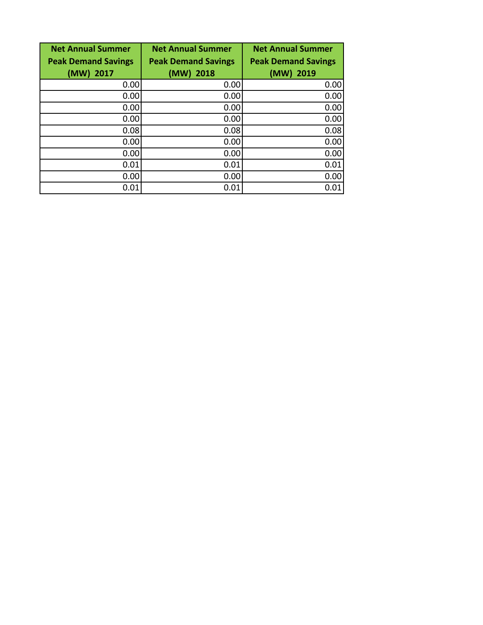| <b>Net Annual Summer</b>   | <b>Net Annual Summer</b>   | <b>Net Annual Summer</b>   |
|----------------------------|----------------------------|----------------------------|
| <b>Peak Demand Savings</b> | <b>Peak Demand Savings</b> | <b>Peak Demand Savings</b> |
| (MW) 2017                  | (MW) 2018                  | (MW) 2019                  |
| 0.00                       | 0.00                       | 0.00                       |
| 0.00                       | 0.00                       | 0.00                       |
| 0.00                       | 0.00                       | 0.00                       |
| 0.00                       | 0.00                       | 0.00                       |
| 0.08                       | 0.08                       | 0.08                       |
| 0.00                       | 0.00                       | 0.00                       |
| 0.00                       | 0.00                       | 0.00                       |
| 0.01                       | 0.01                       | 0.01                       |
| 0.00                       | 0.00                       | 0.00                       |
| 0.01                       | 0.01                       | 0.01                       |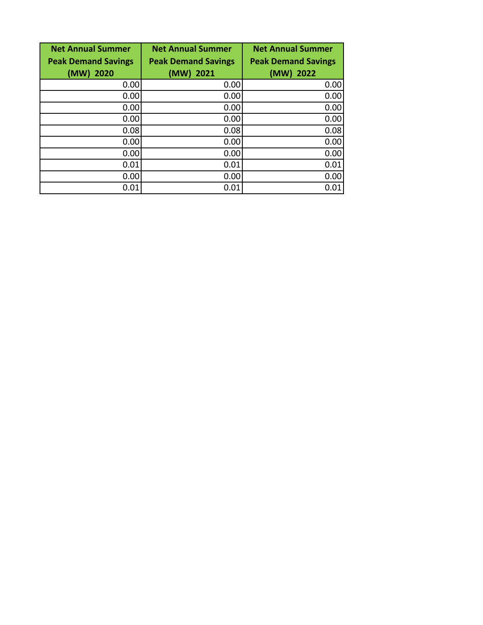| <b>Net Annual Summer</b>   | <b>Net Annual Summer</b>   | <b>Net Annual Summer</b>   |
|----------------------------|----------------------------|----------------------------|
| <b>Peak Demand Savings</b> | <b>Peak Demand Savings</b> | <b>Peak Demand Savings</b> |
| (MW)<br>2020               | (MW) 2021                  | (MW) 2022                  |
| 0.00                       | 0.00                       | 0.00                       |
| 0.00                       | 0.00                       | 0.00                       |
| 0.00                       | 0.00                       | 0.00                       |
| 0.00                       | 0.00                       | 0.00                       |
| 0.08                       | 0.08                       | 0.08                       |
| 0.00                       | 0.00                       | 0.00                       |
| 0.00                       | 0.00                       | 0.00                       |
| 0.01                       | 0.01                       | 0.01                       |
| 0.00                       | 0.00                       | 0.00                       |
| 0.01                       | 0.01                       | 0.01                       |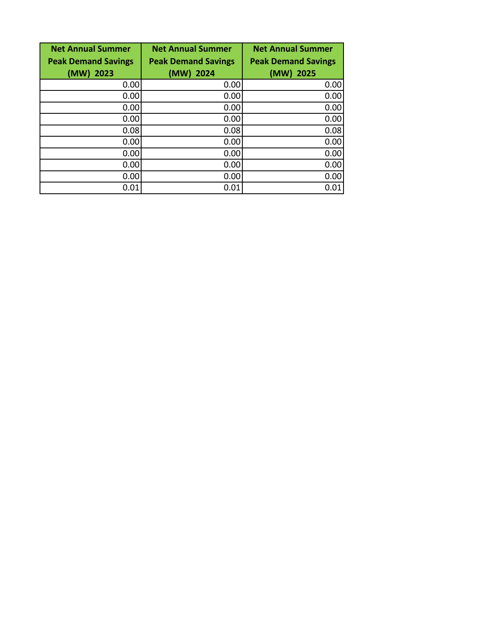| <b>Net Annual Summer</b>   | <b>Net Annual Summer</b>   | <b>Net Annual Summer</b>   |
|----------------------------|----------------------------|----------------------------|
| <b>Peak Demand Savings</b> | <b>Peak Demand Savings</b> | <b>Peak Demand Savings</b> |
| (MW)<br>2023               | (MW) 2024                  | (MW) 2025                  |
| 0.00                       | 0.00                       | 0.00                       |
| 0.00                       | 0.00                       | 0.00                       |
| 0.00                       | 0.00                       | 0.00                       |
| 0.00                       | 0.00                       | 0.00                       |
| 0.08                       | 0.08                       | 0.08                       |
| 0.00                       | 0.00                       | 0.00                       |
| 0.00                       | 0.00                       | 0.00                       |
| 0.00                       | 0.00                       | 0.00                       |
| 0.00                       | 0.00                       | 0.00                       |
| 0.01                       | 0.01                       | 0.01                       |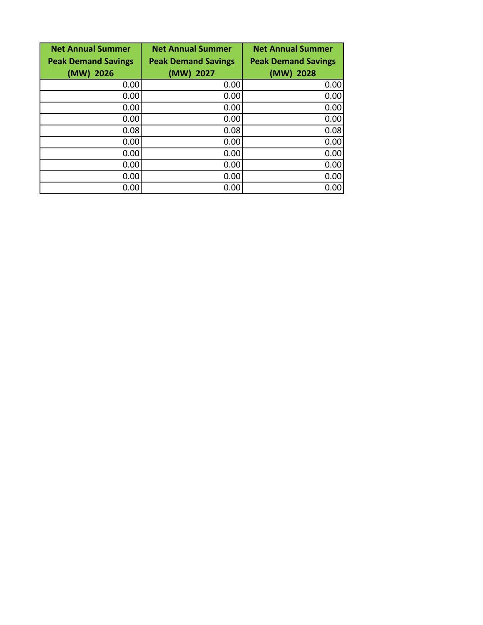| <b>Net Annual Summer</b>   | <b>Net Annual Summer</b>   | <b>Net Annual Summer</b>   |
|----------------------------|----------------------------|----------------------------|
| <b>Peak Demand Savings</b> | <b>Peak Demand Savings</b> | <b>Peak Demand Savings</b> |
| (MW)<br>2026               | (MW) 2027                  | (MW) 2028                  |
| 0.00                       | 0.00                       | 0.00                       |
| 0.00                       | 0.00                       | 0.00                       |
| 0.00                       | 0.00                       | 0.00                       |
| 0.00                       | 0.00                       | 0.00                       |
| 0.08                       | 0.08                       | 0.08                       |
| 0.00                       | 0.00                       | 0.00                       |
| 0.00                       | 0.00                       | 0.00                       |
| 0.00                       | 0.00                       | 0.00                       |
| 0.00                       | 0.00                       | 0.00                       |
| 0.00                       | 0.00                       | 0.00                       |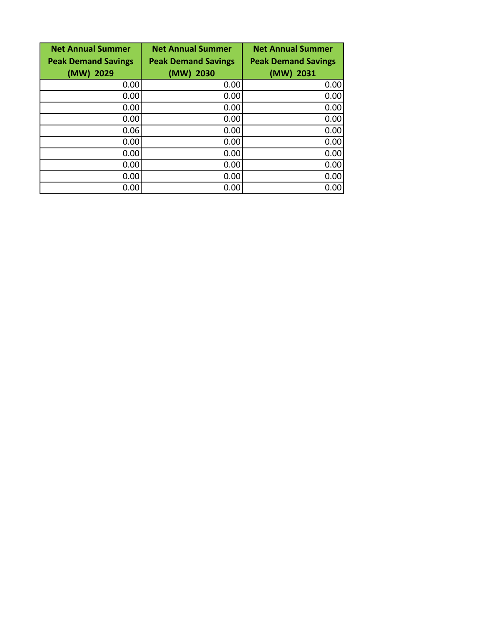| <b>Net Annual Summer</b>   | <b>Net Annual Summer</b>   | <b>Net Annual Summer</b>   |
|----------------------------|----------------------------|----------------------------|
| <b>Peak Demand Savings</b> | <b>Peak Demand Savings</b> | <b>Peak Demand Savings</b> |
| $(MW)$ 2029                | $(MW)$ 2030                | (MW) 2031                  |
| 0.00                       | 0.00                       | 0.00                       |
| 0.00                       | 0.00                       | 0.00                       |
| 0.00                       | 0.00                       | 0.00                       |
| 0.00                       | 0.00                       | 0.00                       |
| 0.06                       | 0.00                       | 0.00                       |
| 0.00                       | 0.00                       | 0.00                       |
| 0.00                       | 0.00                       | 0.00                       |
| 0.00                       | 0.00                       | 0.00                       |
| 0.00                       | 0.00                       | 0.00                       |
| 0.00                       | 0.00                       | 0.00                       |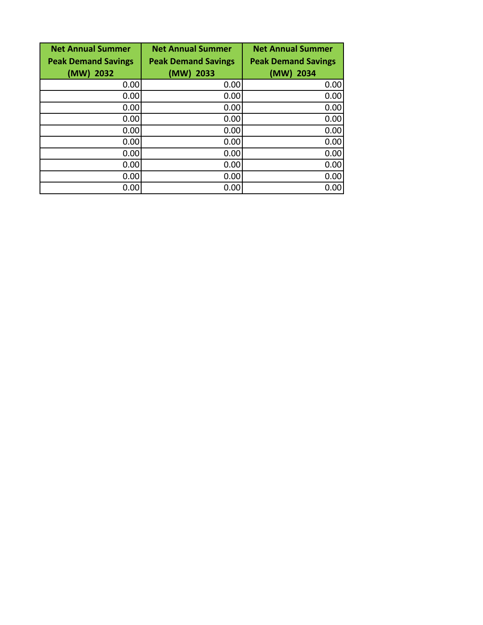| <b>Net Annual Summer</b>   | <b>Net Annual Summer</b>   | <b>Net Annual Summer</b>   |
|----------------------------|----------------------------|----------------------------|
| <b>Peak Demand Savings</b> | <b>Peak Demand Savings</b> | <b>Peak Demand Savings</b> |
| (MW)<br>2032               | (MW) 2033                  | (MW) 2034                  |
| 0.00                       | 0.00                       | 0.00                       |
| 0.00                       | 0.00                       | 0.00                       |
| 0.00                       | 0.00                       | 0.00                       |
| 0.00                       | 0.00                       | 0.00                       |
| 0.00                       | 0.00                       | 0.00                       |
| 0.00                       | 0.00                       | 0.00                       |
| 0.00                       | 0.00                       | 0.00                       |
| 0.00                       | 0.00                       | 0.00                       |
| 0.00                       | 0.00                       | 0.00                       |
| 0.00                       | 0.00                       | 0.00                       |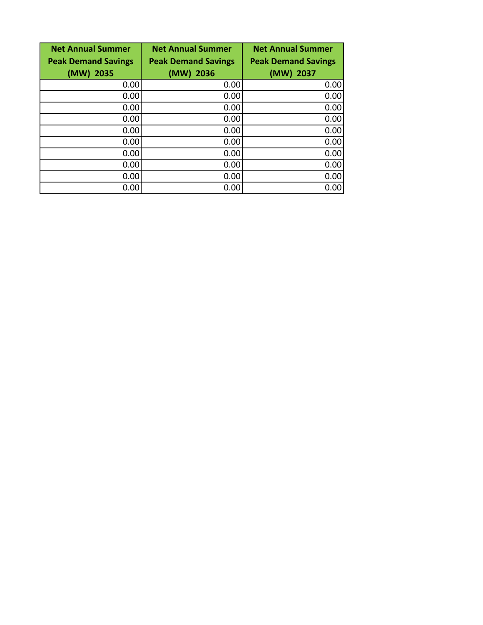| <b>Net Annual Summer</b>   | <b>Net Annual Summer</b>   | <b>Net Annual Summer</b>   |
|----------------------------|----------------------------|----------------------------|
| <b>Peak Demand Savings</b> | <b>Peak Demand Savings</b> | <b>Peak Demand Savings</b> |
| (MW)<br>2035               | (MW) 2036                  | (MW) 2037                  |
| 0.00                       | 0.00                       | 0.00                       |
| 0.00                       | 0.00                       | 0.00                       |
| 0.00                       | 0.00                       | 0.00                       |
| 0.00                       | 0.00                       | 0.00                       |
| 0.00                       | 0.00                       | 0.00                       |
| 0.00                       | 0.00                       | 0.00                       |
| 0.00                       | 0.00                       | 0.00                       |
| 0.00                       | 0.00                       | 0.00                       |
| 0.00                       | 0.00                       | 0.00                       |
| 0.00                       | 0.00                       | 0.00                       |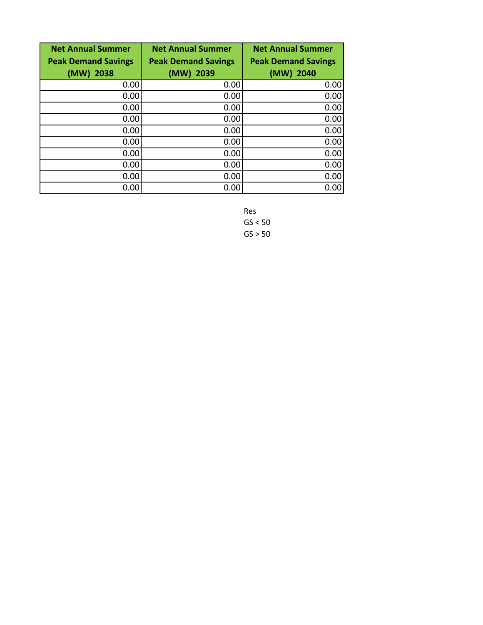| <b>Net Annual Summer</b>   | <b>Net Annual Summer</b>   | <b>Net Annual Summer</b>   |
|----------------------------|----------------------------|----------------------------|
| <b>Peak Demand Savings</b> | <b>Peak Demand Savings</b> | <b>Peak Demand Savings</b> |
| (MW)<br>2038               | (MW) 2039                  | (MW) 2040                  |
| 0.00                       | 0.00                       | 0.00                       |
| 0.00                       | 0.00                       | 0.00                       |
| 0.00                       | 0.00                       | 0.00                       |
| 0.00                       | 0.00                       | 0.00                       |
| 0.00                       | 0.00                       | 0.00                       |
| 0.00                       | 0.00                       | 0.00                       |
| 0.00                       | 0.00                       | 0.00                       |
| 0.00                       | 0.00                       | 0.00                       |
| 0.00                       | 0.00                       | 0.00                       |
| 0.00                       | 0.00                       | 0.00                       |

Res  $GS < 50$  $GS > 50$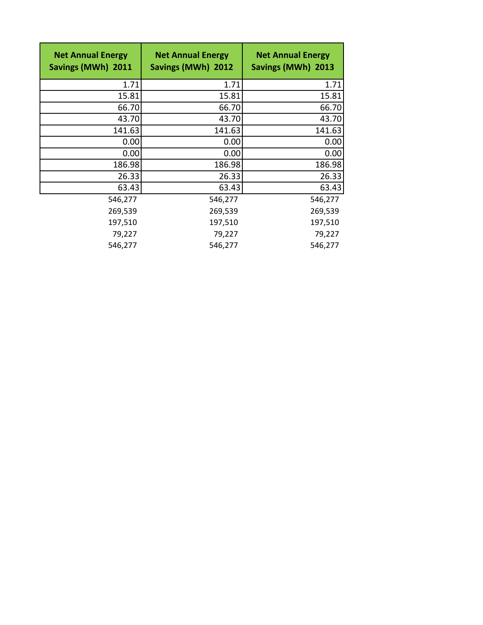| <b>Net Annual Energy</b><br>Savings (MWh) 2011 | <b>Net Annual Energy</b><br>Savings (MWh) 2012 | <b>Net Annual Energy</b><br>Savings (MWh) 2013 |
|------------------------------------------------|------------------------------------------------|------------------------------------------------|
| 1.71                                           | 1.71                                           | 1.71                                           |
| 15.81                                          | 15.81                                          | 15.81                                          |
| 66.70                                          | 66.70                                          | 66.70                                          |
| 43.70                                          | 43.70                                          | 43.70                                          |
| 141.63                                         | 141.63                                         | 141.63                                         |
| 0.00                                           | 0.00                                           | 0.00                                           |
| 0.00                                           | 0.00                                           | 0.00                                           |
| 186.98                                         | 186.98                                         | 186.98                                         |
| 26.33                                          | 26.33                                          | 26.33                                          |
| 63.43                                          | 63.43                                          | 63.43                                          |
| 546,277                                        | 546,277                                        | 546,277                                        |
| 269,539                                        | 269,539                                        | 269,539                                        |
| 197,510                                        | 197,510                                        | 197,510                                        |
| 79,227                                         | 79,227                                         | 79,227                                         |
| 546,277                                        | 546,277                                        | 546,277                                        |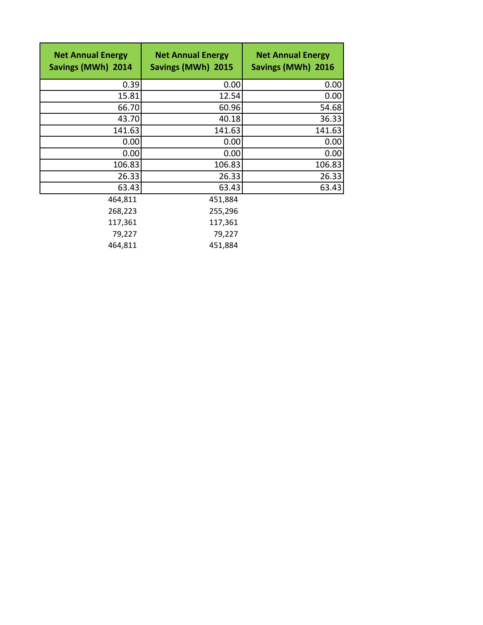| <b>Net Annual Energy</b><br>Savings (MWh) 2014 | <b>Net Annual Energy</b><br>Savings (MWh) 2015 | <b>Net Annual Energy</b><br>Savings (MWh) 2016 |
|------------------------------------------------|------------------------------------------------|------------------------------------------------|
| 0.39                                           | 0.00                                           | 0.00                                           |
| 15.81                                          | 12.54                                          | 0.00                                           |
| 66.70                                          | 60.96                                          | 54.68                                          |
| 43.70                                          | 40.18                                          | 36.33                                          |
| 141.63                                         | 141.63                                         | 141.63                                         |
| 0.00                                           | 0.00                                           | 0.00                                           |
| 0.00                                           | 0.00                                           | 0.00                                           |
| 106.83                                         | 106.83                                         | 106.83                                         |
| 26.33                                          | 26.33                                          | 26.33                                          |
| 63.43                                          | 63.43                                          | 63.43                                          |
| 464,811                                        | 451,884                                        |                                                |
| 268,223                                        | 255,296                                        |                                                |
| 117,361                                        | 117,361                                        |                                                |
| 79,227                                         | 79,227                                         |                                                |
| 464,811                                        | 451,884                                        |                                                |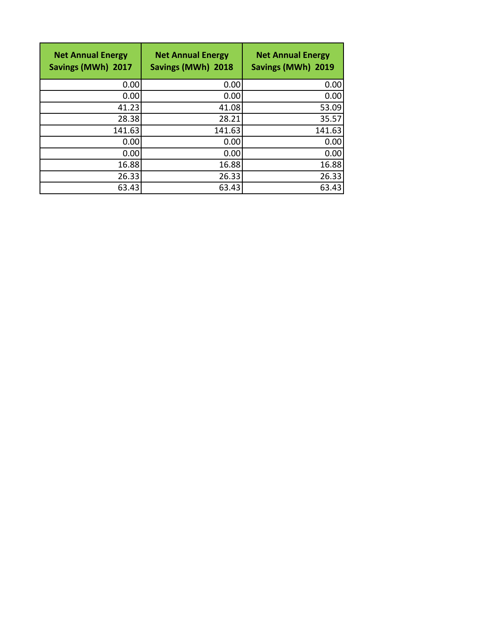| <b>Net Annual Energy</b><br>Savings (MWh) 2017 | <b>Net Annual Energy</b><br>Savings (MWh) 2018 | <b>Net Annual Energy</b><br>Savings (MWh) 2019 |
|------------------------------------------------|------------------------------------------------|------------------------------------------------|
| 0.00                                           | 0.00                                           | 0.00                                           |
| 0.00                                           | 0.00                                           | 0.00                                           |
| 41.23                                          | 41.08                                          | 53.09                                          |
| 28.38                                          | 28.21                                          | 35.57                                          |
| 141.63                                         | 141.63                                         | 141.63                                         |
| 0.00                                           | 0.00                                           | 0.00                                           |
| 0.00                                           | 0.00                                           | 0.00                                           |
| 16.88                                          | 16.88                                          | 16.88                                          |
| 26.33                                          | 26.33                                          | 26.33                                          |
| 63.43                                          | 63.43                                          | 63.43                                          |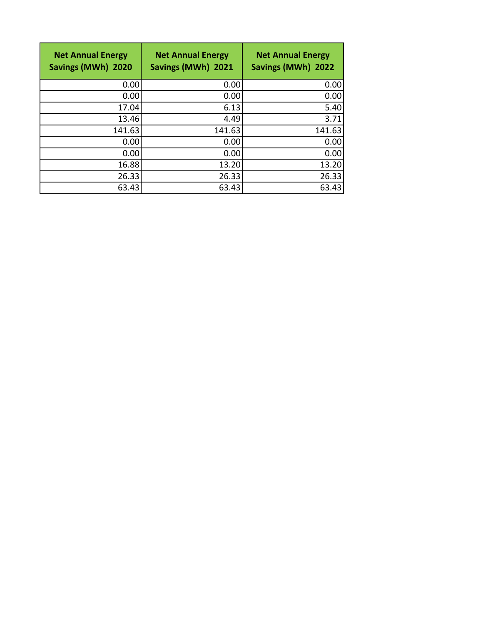| <b>Net Annual Energy</b><br>Savings (MWh) 2020 | <b>Net Annual Energy</b><br>Savings (MWh) 2021 | <b>Net Annual Energy</b><br>Savings (MWh) 2022 |
|------------------------------------------------|------------------------------------------------|------------------------------------------------|
| 0.00                                           | 0.00                                           | 0.00                                           |
| 0.00                                           | 0.00                                           | 0.00                                           |
| 17.04                                          | 6.13                                           | 5.40                                           |
| 13.46                                          | 4.49                                           | 3.71                                           |
| 141.63                                         | 141.63                                         | 141.63                                         |
| 0.00                                           | 0.00                                           | 0.00                                           |
| 0.00                                           | 0.00                                           | 0.00                                           |
| 16.88                                          | 13.20                                          | 13.20                                          |
| 26.33                                          | 26.33                                          | 26.33                                          |
| 63.43                                          | 63.43                                          | 63.43                                          |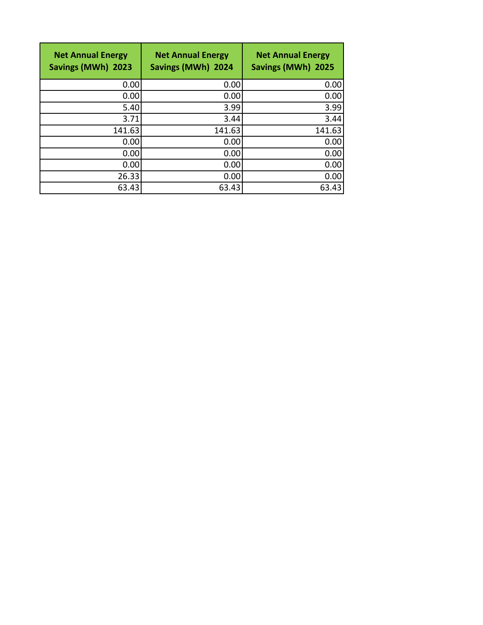| <b>Net Annual Energy</b><br>Savings (MWh) 2023 | <b>Net Annual Energy</b><br>Savings (MWh) 2024 | <b>Net Annual Energy</b><br>Savings (MWh) 2025 |
|------------------------------------------------|------------------------------------------------|------------------------------------------------|
| 0.00                                           | 0.00                                           | 0.00                                           |
| 0.00                                           | 0.00                                           | 0.00                                           |
| 5.40                                           | 3.99                                           | 3.99                                           |
| 3.71                                           | 3.44                                           | 3.44                                           |
| 141.63                                         | 141.63                                         | 141.63                                         |
| 0.00                                           | 0.00                                           | 0.00                                           |
| 0.00                                           | 0.00                                           | 0.00                                           |
| 0.00                                           | 0.00                                           | 0.00                                           |
| 26.33                                          | 0.00                                           | 0.00                                           |
| 63.43                                          | 63.43                                          | 63.43                                          |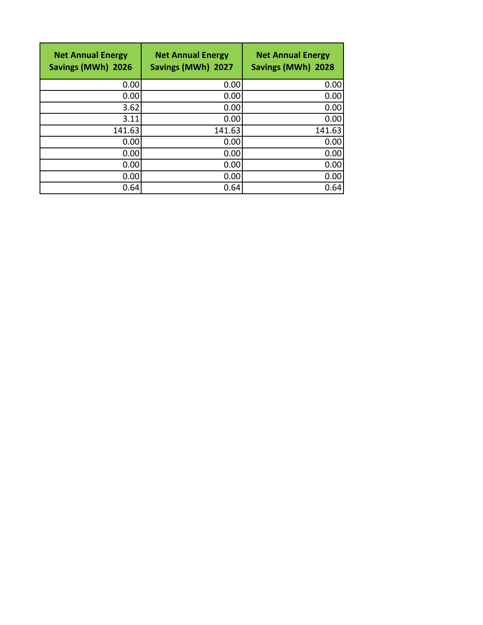| <b>Net Annual Energy</b><br>Savings (MWh) 2026 | <b>Net Annual Energy</b><br>Savings (MWh) 2027 | <b>Net Annual Energy</b><br>Savings (MWh) 2028 |
|------------------------------------------------|------------------------------------------------|------------------------------------------------|
| 0.00                                           | 0.00                                           | 0.00                                           |
| 0.00                                           | 0.00                                           | 0.00                                           |
| 3.62                                           | 0.00                                           | 0.00                                           |
| 3.11                                           | 0.00                                           | 0.00                                           |
| 141.63                                         | 141.63                                         | 141.63                                         |
| 0.00                                           | 0.00                                           | 0.00                                           |
| 0.00                                           | 0.00                                           | 0.00                                           |
| 0.00                                           | 0.00                                           | 0.00                                           |
| 0.00                                           | 0.00                                           | 0.00                                           |
| 0.64                                           | 0.64                                           | 0.64                                           |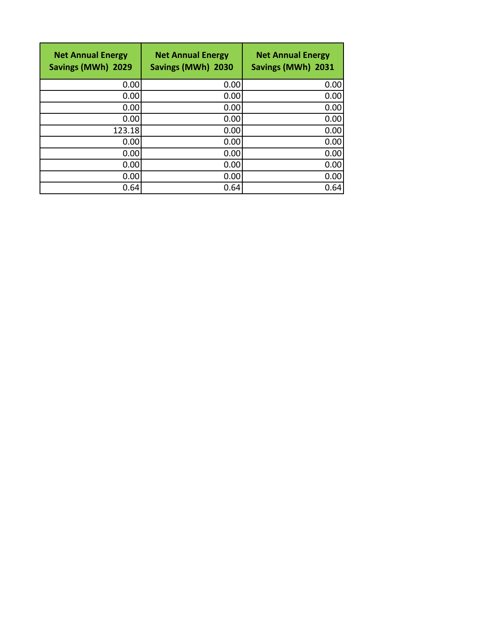| <b>Net Annual Energy</b><br>Savings (MWh) 2029 | <b>Net Annual Energy</b><br>Savings (MWh) 2030 | <b>Net Annual Energy</b><br>Savings (MWh) 2031 |
|------------------------------------------------|------------------------------------------------|------------------------------------------------|
| 0.00                                           | 0.00                                           | 0.00                                           |
| 0.00                                           | 0.00                                           | 0.00                                           |
| 0.00                                           | 0.00                                           | 0.00                                           |
| 0.00                                           | 0.00                                           | 0.00                                           |
| 123.18                                         | 0.00                                           | 0.00                                           |
| 0.00                                           | 0.00                                           | 0.00                                           |
| 0.00                                           | 0.00                                           | 0.00                                           |
| 0.00                                           | 0.00                                           | 0.00                                           |
| 0.00                                           | 0.00                                           | 0.00                                           |
| 0.64                                           | 0.64                                           | 0.64                                           |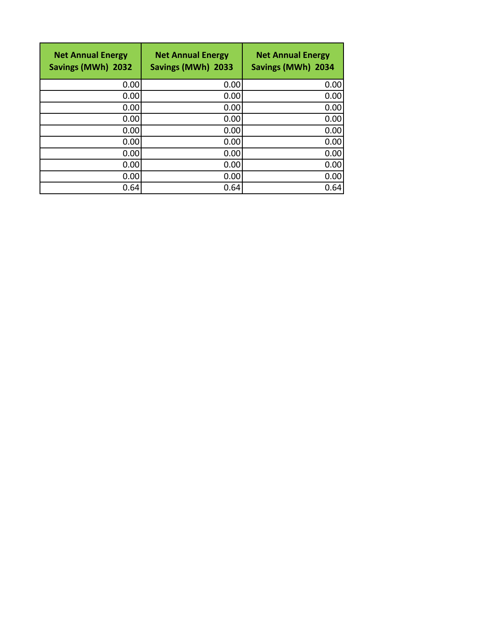| <b>Net Annual Energy</b><br>Savings (MWh) 2032 | <b>Net Annual Energy</b><br>Savings (MWh) 2033 | <b>Net Annual Energy</b><br>Savings (MWh) 2034 |
|------------------------------------------------|------------------------------------------------|------------------------------------------------|
| 0.00                                           | 0.00                                           | 0.00                                           |
| 0.00                                           | 0.00                                           | 0.00                                           |
| 0.00                                           | 0.00                                           | 0.00                                           |
| 0.00                                           | 0.00                                           | 0.00                                           |
| 0.00                                           | 0.00                                           | 0.00                                           |
| 0.00                                           | 0.00                                           | 0.00                                           |
| 0.00                                           | 0.00                                           | 0.00                                           |
| 0.00                                           | 0.00                                           | 0.00                                           |
| 0.00                                           | 0.00                                           | 0.00                                           |
| 0.64                                           | 0.64                                           | 0.64                                           |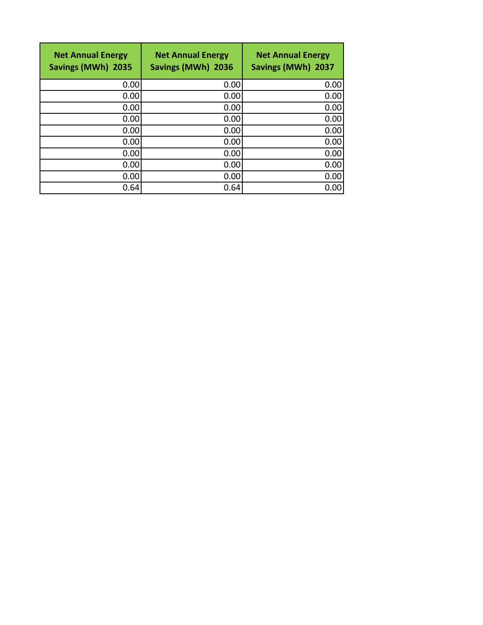| <b>Net Annual Energy</b><br>Savings (MWh) 2035 | <b>Net Annual Energy</b><br>Savings (MWh) 2036 | <b>Net Annual Energy</b><br>Savings (MWh) 2037 |
|------------------------------------------------|------------------------------------------------|------------------------------------------------|
| 0.00                                           | 0.00                                           | 0.00                                           |
| 0.00                                           | 0.00                                           | 0.00                                           |
| 0.00                                           | 0.00                                           | 0.00                                           |
| 0.00                                           | 0.00                                           | 0.00                                           |
| 0.00                                           | 0.00                                           | 0.00                                           |
| 0.00                                           | 0.00                                           | 0.00                                           |
| 0.00                                           | 0.00                                           | 0.00                                           |
| 0.00                                           | 0.00                                           | 0.00                                           |
| 0.00                                           | 0.00                                           | 0.00                                           |
| 0.64                                           | 0.64                                           | 0.00                                           |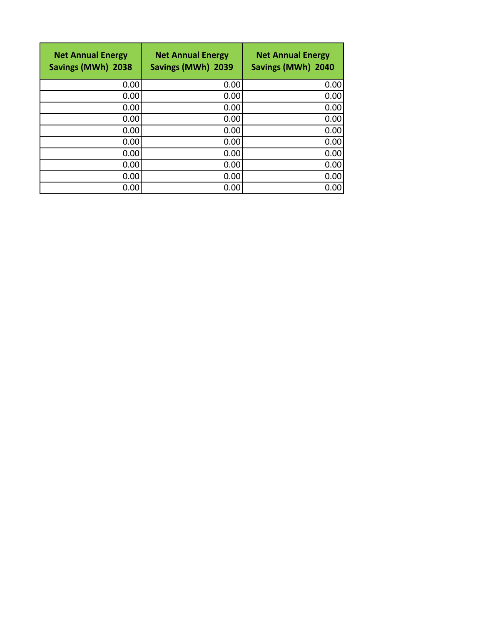| <b>Net Annual Energy</b><br>Savings (MWh) 2038 | <b>Net Annual Energy</b><br>Savings (MWh) 2039 | <b>Net Annual Energy</b><br>Savings (MWh) 2040 |
|------------------------------------------------|------------------------------------------------|------------------------------------------------|
| 0.00                                           | 0.00                                           | 0.00                                           |
| 0.00                                           | 0.00                                           | 0.00                                           |
| 0.00                                           | 0.00                                           | 0.00                                           |
| 0.00                                           | 0.00                                           | 0.00                                           |
| 0.00                                           | 0.00                                           | 0.00                                           |
| 0.00                                           | 0.00                                           | 0.00                                           |
| 0.00                                           | 0.00                                           | 0.00                                           |
| 0.00                                           | 0.00                                           | 0.00                                           |
| 0.00                                           | 0.00                                           | 0.00                                           |
| 0.00                                           | 0.00                                           | 0.00                                           |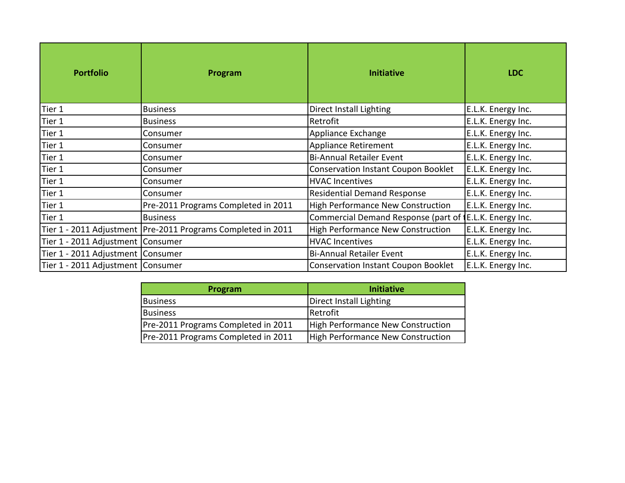| <b>Portfolio</b>                    | Program                                                        | <b>Initiative</b>                                       | <b>LDC</b>         |
|-------------------------------------|----------------------------------------------------------------|---------------------------------------------------------|--------------------|
| Tier 1                              | <b>Business</b>                                                | Direct Install Lighting                                 | E.L.K. Energy Inc. |
| Tier 1                              | <b>Business</b>                                                | Retrofit                                                | E.L.K. Energy Inc. |
| Tier 1                              | Consumer                                                       | Appliance Exchange                                      | E.L.K. Energy Inc. |
| Tier 1                              | Consumer                                                       | Appliance Retirement                                    | E.L.K. Energy Inc. |
| Tier 1                              | Consumer                                                       | <b>Bi-Annual Retailer Event</b>                         | E.L.K. Energy Inc. |
| Tier 1                              | Consumer                                                       | <b>Conservation Instant Coupon Booklet</b>              | E.L.K. Energy Inc. |
| Tier 1                              | Consumer                                                       | <b>HVAC Incentives</b>                                  | E.L.K. Energy Inc. |
| Tier 1                              | Consumer                                                       | <b>Residential Demand Response</b>                      | E.L.K. Energy Inc. |
| Tier 1                              | Pre-2011 Programs Completed in 2011                            | <b>High Performance New Construction</b>                | E.L.K. Energy Inc. |
| Tier 1                              | <b>Business</b>                                                | Commercial Demand Response (part of [E.L.K. Energy Inc. |                    |
|                                     | Tier 1 - 2011 Adjustment   Pre-2011 Programs Completed in 2011 | <b>High Performance New Construction</b>                | E.L.K. Energy Inc. |
| Tier 1 - 2011 Adjustment Consumer   |                                                                | <b>HVAC Incentives</b>                                  | E.L.K. Energy Inc. |
| Tier 1 - 2011 Adjustment Consumer   |                                                                | <b>Bi-Annual Retailer Event</b>                         | E.L.K. Energy Inc. |
| Tier 1 - 2011 Adjustment   Consumer |                                                                | <b>Conservation Instant Coupon Booklet</b>              | E.L.K. Energy Inc. |

| Program                             | <b>Initiative</b>                 |
|-------------------------------------|-----------------------------------|
| Business                            | Direct Install Lighting           |
| <b>Business</b>                     | Retrofit                          |
| Pre-2011 Programs Completed in 2011 | High Performance New Construction |
| Pre-2011 Programs Completed in 2011 | High Performance New Construction |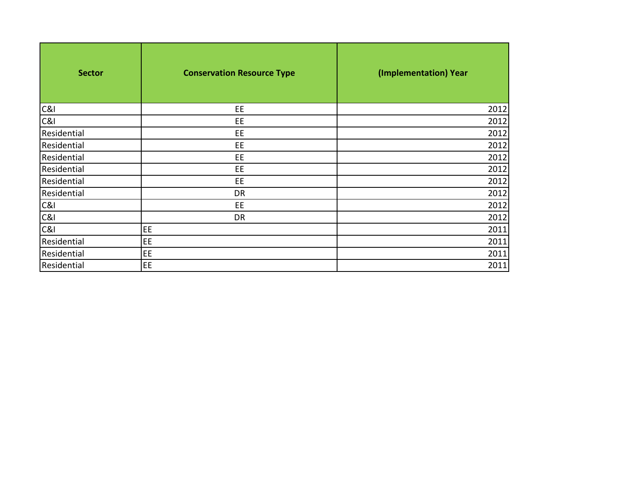| <b>Sector</b>  | <b>Conservation Resource Type</b> | (Implementation) Year |
|----------------|-----------------------------------|-----------------------|
| C&I            | EE                                | 2012                  |
| C&I            | EE                                | 2012                  |
| Residential    | EE                                | 2012                  |
| Residential    | EE                                | 2012                  |
| Residential    | EE                                | 2012                  |
| Residential    | EE                                | 2012                  |
| Residential    | EE                                | 2012                  |
| Residential    | DR                                | 2012                  |
| <b>C&amp;I</b> | EE                                | 2012                  |
| C&l            | DR                                | 2012                  |
| C&I            | EE                                | 2011                  |
| Residential    | EE                                | 2011                  |
| Residential    | EE                                | 2011                  |
| Residential    | EE                                | 2011                  |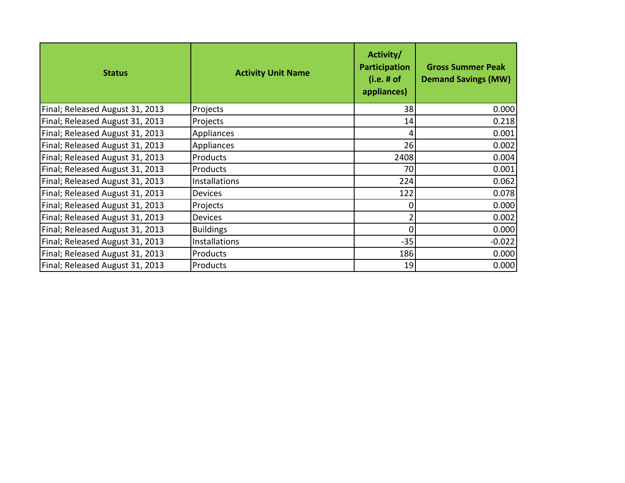| <b>Status</b>                   | <b>Activity Unit Name</b> | Activity/<br>Participation<br>$(i.e. \# of$<br>appliances) | <b>Gross Summer Peak</b><br><b>Demand Savings (MW)</b> |
|---------------------------------|---------------------------|------------------------------------------------------------|--------------------------------------------------------|
| Final; Released August 31, 2013 | Projects                  | 38                                                         | 0.000                                                  |
| Final; Released August 31, 2013 | Projects                  | 14                                                         | 0.218                                                  |
| Final; Released August 31, 2013 | Appliances                | 4                                                          | 0.001                                                  |
| Final; Released August 31, 2013 | Appliances                | 26                                                         | 0.002                                                  |
| Final; Released August 31, 2013 | Products                  | 2408                                                       | 0.004                                                  |
| Final; Released August 31, 2013 | Products                  | 70                                                         | 0.001                                                  |
| Final; Released August 31, 2013 | Installations             | 224                                                        | 0.062                                                  |
| Final; Released August 31, 2013 | <b>Devices</b>            | 122                                                        | 0.078                                                  |
| Final; Released August 31, 2013 | Projects                  | 0                                                          | 0.000                                                  |
| Final; Released August 31, 2013 | <b>Devices</b>            | $\overline{2}$                                             | 0.002                                                  |
| Final; Released August 31, 2013 | <b>Buildings</b>          | 0                                                          | 0.000                                                  |
| Final; Released August 31, 2013 | Installations             | $-35$                                                      | $-0.022$                                               |
| Final; Released August 31, 2013 | Products                  | 186                                                        | 0.000                                                  |
| Final; Released August 31, 2013 | Products                  | 19                                                         | 0.000                                                  |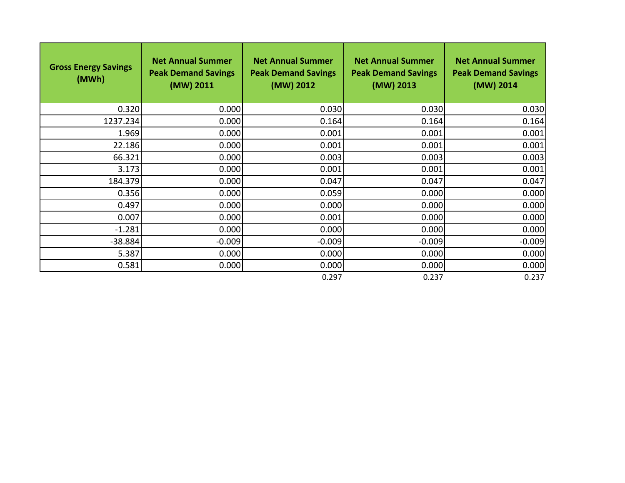| <b>Gross Energy Savings</b><br>(MWh) | <b>Net Annual Summer</b><br><b>Peak Demand Savings</b><br>(MW) 2011 | <b>Net Annual Summer</b><br><b>Peak Demand Savings</b><br>(MW) 2012 | <b>Net Annual Summer</b><br><b>Peak Demand Savings</b><br>(MW) 2013 | <b>Net Annual Summer</b><br><b>Peak Demand Savings</b><br>(MW) 2014 |
|--------------------------------------|---------------------------------------------------------------------|---------------------------------------------------------------------|---------------------------------------------------------------------|---------------------------------------------------------------------|
| 0.320                                | 0.000                                                               | 0.030                                                               | 0.030                                                               | 0.030                                                               |
| 1237.234                             | 0.000                                                               | 0.164                                                               | 0.164                                                               | 0.164                                                               |
| 1.969                                | 0.000                                                               | 0.001                                                               | 0.001                                                               | 0.001                                                               |
| 22.186                               | 0.000                                                               | 0.001                                                               | 0.001                                                               | 0.001                                                               |
| 66.321                               | 0.000                                                               | 0.003                                                               | 0.003                                                               | 0.003                                                               |
| 3.173                                | 0.000                                                               | 0.001                                                               | 0.001                                                               | 0.001                                                               |
| 184.379                              | 0.000                                                               | 0.047                                                               | 0.047                                                               | 0.047                                                               |
| 0.356                                | 0.000                                                               | 0.059                                                               | 0.000                                                               | 0.000                                                               |
| 0.497                                | 0.000                                                               | 0.000                                                               | 0.000                                                               | 0.000                                                               |
| 0.007                                | 0.000                                                               | 0.001                                                               | 0.000                                                               | 0.000                                                               |
| $-1.281$                             | 0.000                                                               | 0.000                                                               | 0.000                                                               | 0.000                                                               |
| $-38.884$                            | $-0.009$                                                            | $-0.009$                                                            | $-0.009$                                                            | $-0.009$                                                            |
| 5.387                                | 0.000                                                               | 0.000                                                               | 0.000                                                               | 0.000                                                               |
| 0.581                                | 0.000                                                               | 0.000                                                               | 0.000                                                               | 0.000                                                               |
|                                      |                                                                     | 0.297                                                               | 0.237                                                               | 0.237                                                               |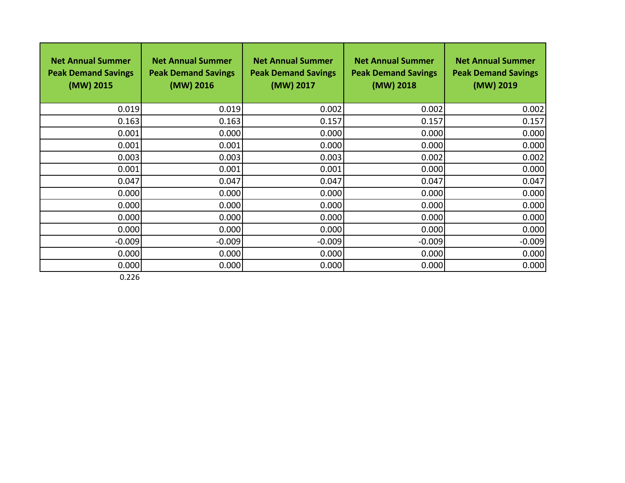| <b>Net Annual Summer</b><br><b>Peak Demand Savings</b><br>(MW) 2015 | <b>Net Annual Summer</b><br><b>Peak Demand Savings</b><br>(MW) 2016 | <b>Net Annual Summer</b><br><b>Peak Demand Savings</b><br>(MW) 2017 | <b>Net Annual Summer</b><br><b>Peak Demand Savings</b><br>(MW) 2018 | <b>Net Annual Summer</b><br><b>Peak Demand Savings</b><br>(MW) 2019 |
|---------------------------------------------------------------------|---------------------------------------------------------------------|---------------------------------------------------------------------|---------------------------------------------------------------------|---------------------------------------------------------------------|
| 0.019                                                               | 0.019                                                               | 0.002                                                               | 0.002                                                               | 0.002                                                               |
| 0.163                                                               | 0.163                                                               | 0.157                                                               | 0.157                                                               | 0.157                                                               |
| 0.001                                                               | 0.000                                                               | 0.000                                                               | 0.000                                                               | 0.000                                                               |
| 0.001                                                               | 0.001                                                               | 0.000                                                               | 0.000                                                               | 0.000                                                               |
| 0.003                                                               | 0.003                                                               | 0.003                                                               | 0.002                                                               | 0.002                                                               |
| 0.001                                                               | 0.001                                                               | 0.001                                                               | 0.000                                                               | 0.000                                                               |
| 0.047                                                               | 0.047                                                               | 0.047                                                               | 0.047                                                               | 0.047                                                               |
| 0.000                                                               | 0.000                                                               | 0.000                                                               | 0.000                                                               | 0.000                                                               |
| 0.000                                                               | 0.000                                                               | 0.000                                                               | 0.000                                                               | 0.000                                                               |
| 0.000                                                               | 0.000                                                               | 0.000                                                               | 0.000                                                               | 0.000                                                               |
| 0.000                                                               | 0.000                                                               | 0.000                                                               | 0.000                                                               | 0.000                                                               |
| $-0.009$                                                            | $-0.009$                                                            | $-0.009$                                                            | $-0.009$                                                            | $-0.009$                                                            |
| 0.000                                                               | 0.000                                                               | 0.000                                                               | 0.000                                                               | 0.000                                                               |
| 0.000                                                               | 0.000                                                               | 0.000                                                               | 0.000                                                               | 0.000                                                               |

0.226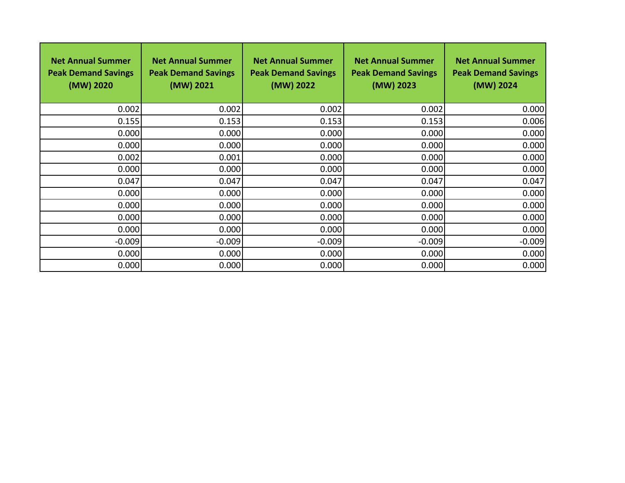| <b>Net Annual Summer</b><br><b>Peak Demand Savings</b><br>(MW) 2020 | <b>Net Annual Summer</b><br><b>Peak Demand Savings</b><br>(MW) 2021 | <b>Net Annual Summer</b><br><b>Peak Demand Savings</b><br>(MW) 2022 | <b>Net Annual Summer</b><br><b>Peak Demand Savings</b><br>(MW) 2023 | <b>Net Annual Summer</b><br><b>Peak Demand Savings</b><br>(MW) 2024 |
|---------------------------------------------------------------------|---------------------------------------------------------------------|---------------------------------------------------------------------|---------------------------------------------------------------------|---------------------------------------------------------------------|
| 0.002                                                               | 0.002                                                               | 0.002                                                               | 0.002                                                               | 0.000                                                               |
| 0.155                                                               | 0.153                                                               | 0.153                                                               | 0.153                                                               | 0.006                                                               |
| 0.000                                                               | 0.000                                                               | 0.000                                                               | 0.000                                                               | 0.000                                                               |
| 0.000                                                               | 0.000                                                               | 0.000                                                               | 0.000                                                               | 0.000                                                               |
| 0.002                                                               | 0.001                                                               | 0.000                                                               | 0.000                                                               | 0.000                                                               |
| 0.000                                                               | 0.000                                                               | 0.000                                                               | 0.000                                                               | 0.000                                                               |
| 0.047                                                               | 0.047                                                               | 0.047                                                               | 0.047                                                               | 0.047                                                               |
| 0.000                                                               | 0.000                                                               | 0.000                                                               | 0.000                                                               | 0.000                                                               |
| 0.000                                                               | 0.000                                                               | 0.000                                                               | 0.000                                                               | 0.000                                                               |
| 0.000                                                               | 0.000                                                               | 0.000                                                               | 0.000                                                               | 0.000                                                               |
| 0.000                                                               | 0.000                                                               | 0.000                                                               | 0.000                                                               | 0.000                                                               |
| $-0.009$                                                            | $-0.009$                                                            | $-0.009$                                                            | $-0.009$                                                            | $-0.009$                                                            |
| 0.000                                                               | 0.000                                                               | 0.000                                                               | 0.000                                                               | 0.000                                                               |
| 0.000                                                               | 0.000                                                               | 0.000                                                               | 0.000                                                               | 0.000                                                               |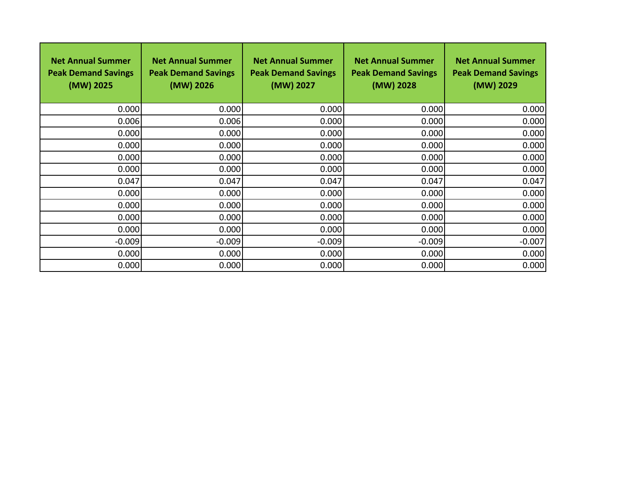| <b>Net Annual Summer</b><br><b>Peak Demand Savings</b><br>(MW) 2025 | <b>Net Annual Summer</b><br><b>Peak Demand Savings</b><br>(MW) 2026 | <b>Net Annual Summer</b><br><b>Peak Demand Savings</b><br>(MW) 2027 | <b>Net Annual Summer</b><br><b>Peak Demand Savings</b><br>(MW) 2028 | <b>Net Annual Summer</b><br><b>Peak Demand Savings</b><br>(MW) 2029 |
|---------------------------------------------------------------------|---------------------------------------------------------------------|---------------------------------------------------------------------|---------------------------------------------------------------------|---------------------------------------------------------------------|
| 0.000                                                               | 0.000                                                               | 0.000                                                               | 0.000                                                               | 0.000                                                               |
| 0.006                                                               | 0.006                                                               | 0.000                                                               | 0.000                                                               | 0.000                                                               |
| 0.000                                                               | 0.000                                                               | 0.000                                                               | 0.000                                                               | 0.000                                                               |
| 0.000                                                               | 0.000                                                               | 0.000                                                               | 0.000                                                               | 0.000                                                               |
| 0.000                                                               | 0.000                                                               | 0.000                                                               | 0.000                                                               | 0.000                                                               |
| 0.000                                                               | 0.000                                                               | 0.000                                                               | 0.000                                                               | 0.000                                                               |
| 0.047                                                               | 0.047                                                               | 0.047                                                               | 0.047                                                               | 0.047                                                               |
| 0.000                                                               | 0.000                                                               | 0.000                                                               | 0.000                                                               | 0.000                                                               |
| 0.000                                                               | 0.000                                                               | 0.000                                                               | 0.000                                                               | 0.000                                                               |
| 0.000                                                               | 0.000                                                               | 0.000                                                               | 0.000                                                               | 0.000                                                               |
| 0.000                                                               | 0.000                                                               | 0.000                                                               | 0.000                                                               | 0.000                                                               |
| $-0.009$                                                            | $-0.009$                                                            | $-0.009$                                                            | $-0.009$                                                            | $-0.007$                                                            |
| 0.000                                                               | 0.000                                                               | 0.000                                                               | 0.000                                                               | 0.000                                                               |
| 0.000                                                               | 0.000                                                               | 0.000                                                               | 0.000                                                               | 0.000                                                               |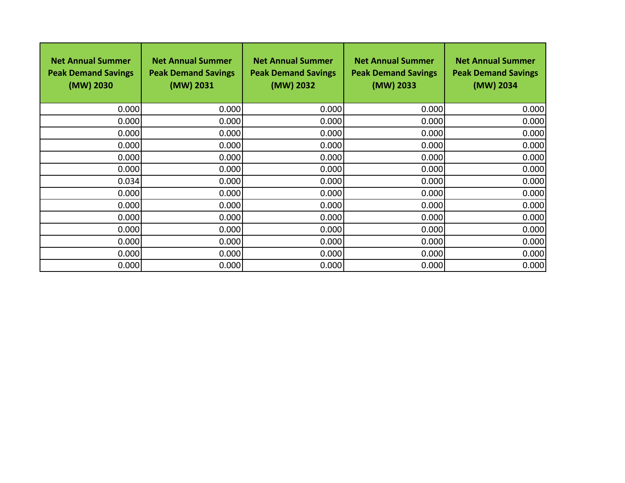| <b>Net Annual Summer</b><br><b>Peak Demand Savings</b><br>(MW) 2030 | <b>Net Annual Summer</b><br><b>Peak Demand Savings</b><br>(MW) 2031 | <b>Net Annual Summer</b><br><b>Peak Demand Savings</b><br>(MW) 2032 | <b>Net Annual Summer</b><br><b>Peak Demand Savings</b><br>(MW) 2033 | <b>Net Annual Summer</b><br><b>Peak Demand Savings</b><br>(MW) 2034 |
|---------------------------------------------------------------------|---------------------------------------------------------------------|---------------------------------------------------------------------|---------------------------------------------------------------------|---------------------------------------------------------------------|
| 0.000                                                               | 0.000                                                               | 0.000                                                               | 0.000                                                               | 0.000                                                               |
| 0.000                                                               | 0.000                                                               | 0.000                                                               | 0.000                                                               | 0.000                                                               |
| 0.000                                                               | 0.000                                                               | 0.000                                                               | 0.000                                                               | 0.000                                                               |
| 0.000                                                               | 0.000                                                               | 0.000                                                               | 0.000                                                               | 0.000                                                               |
| 0.000                                                               | 0.000                                                               | 0.000                                                               | 0.000                                                               | 0.000                                                               |
| 0.000                                                               | 0.000                                                               | 0.000                                                               | 0.000                                                               | 0.000                                                               |
| 0.034                                                               | 0.000                                                               | 0.000                                                               | 0.000                                                               | 0.000                                                               |
| 0.000                                                               | 0.000                                                               | 0.000                                                               | 0.000                                                               | 0.000                                                               |
| 0.000                                                               | 0.000                                                               | 0.000                                                               | 0.000                                                               | 0.000                                                               |
| 0.000                                                               | 0.000                                                               | 0.000                                                               | 0.000                                                               | 0.000                                                               |
| 0.000                                                               | 0.000                                                               | 0.000                                                               | 0.000                                                               | 0.000                                                               |
| 0.000                                                               | 0.000                                                               | 0.000                                                               | 0.000                                                               | 0.000                                                               |
| 0.000                                                               | 0.000                                                               | 0.000                                                               | 0.000                                                               | 0.000                                                               |
| 0.000                                                               | 0.000                                                               | 0.000                                                               | 0.000                                                               | 0.000                                                               |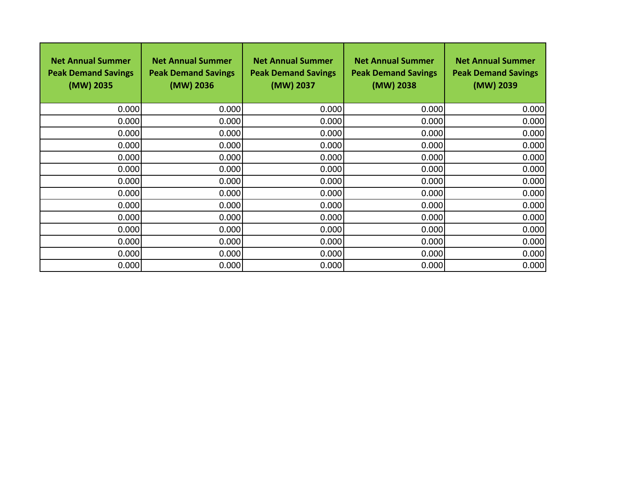| <b>Net Annual Summer</b><br><b>Peak Demand Savings</b><br>(MW) 2035 | <b>Net Annual Summer</b><br><b>Peak Demand Savings</b><br>(MW) 2036 | <b>Net Annual Summer</b><br><b>Peak Demand Savings</b><br>(MW) 2037 | <b>Net Annual Summer</b><br><b>Peak Demand Savings</b><br>(MW) 2038 | <b>Net Annual Summer</b><br><b>Peak Demand Savings</b><br>(MW) 2039 |
|---------------------------------------------------------------------|---------------------------------------------------------------------|---------------------------------------------------------------------|---------------------------------------------------------------------|---------------------------------------------------------------------|
| 0.000                                                               | 0.000                                                               | 0.000                                                               | 0.000                                                               | 0.000                                                               |
| 0.000                                                               | 0.000                                                               | 0.000                                                               | 0.000                                                               | 0.000                                                               |
| 0.000                                                               | 0.000                                                               | 0.000                                                               | 0.000                                                               | 0.000                                                               |
| 0.000                                                               | 0.000                                                               | 0.000                                                               | 0.000                                                               | 0.000                                                               |
| 0.000                                                               | 0.000                                                               | 0.000                                                               | 0.000                                                               | 0.000                                                               |
| 0.000                                                               | 0.000                                                               | 0.000                                                               | 0.000                                                               | 0.000                                                               |
| 0.000                                                               | 0.000                                                               | 0.000                                                               | 0.000                                                               | 0.000                                                               |
| 0.000                                                               | 0.000                                                               | 0.000                                                               | 0.000                                                               | 0.000                                                               |
| 0.000                                                               | 0.000                                                               | 0.000                                                               | 0.000                                                               | 0.000                                                               |
| 0.000                                                               | 0.000                                                               | 0.000                                                               | 0.000                                                               | 0.000                                                               |
| 0.000                                                               | 0.000                                                               | 0.000                                                               | 0.000                                                               | 0.000                                                               |
| 0.000                                                               | 0.000                                                               | 0.000                                                               | 0.000                                                               | 0.000                                                               |
| 0.000                                                               | 0.000                                                               | 0.000                                                               | 0.000                                                               | 0.000                                                               |
| 0.000                                                               | 0.000                                                               | 0.000                                                               | 0.000                                                               | 0.000                                                               |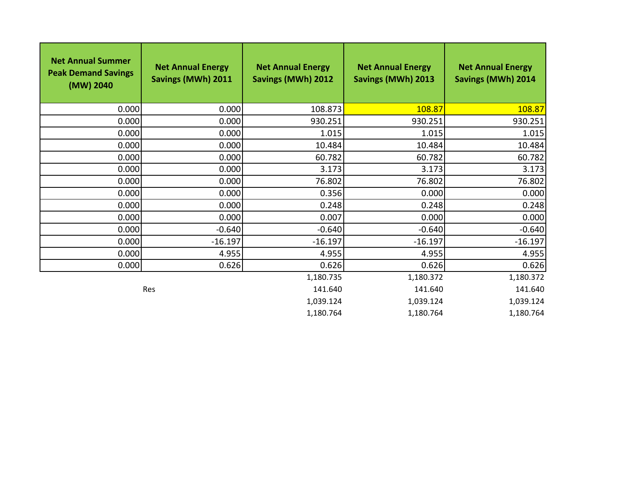| <b>Net Annual Summer</b><br><b>Peak Demand Savings</b><br>(MW) 2040 | <b>Net Annual Energy</b><br>Savings (MWh) 2011 | <b>Net Annual Energy</b><br><b>Savings (MWh) 2012</b> | <b>Net Annual Energy</b><br>Savings (MWh) 2013 | <b>Net Annual Energy</b><br><b>Savings (MWh) 2014</b> |
|---------------------------------------------------------------------|------------------------------------------------|-------------------------------------------------------|------------------------------------------------|-------------------------------------------------------|
| 0.000                                                               | 0.000                                          | 108.873                                               | 108.87                                         | 108.87                                                |
| 0.000                                                               | 0.000                                          | 930.251                                               | 930.251                                        | 930.251                                               |
| 0.000                                                               | 0.000                                          | 1.015                                                 | 1.015                                          | 1.015                                                 |
| 0.000                                                               | 0.000                                          | 10.484                                                | 10.484                                         | 10.484                                                |
| 0.000                                                               | 0.000                                          | 60.782                                                | 60.782                                         | 60.782                                                |
| 0.000                                                               | 0.000                                          | 3.173                                                 | 3.173                                          | 3.173                                                 |
| 0.000                                                               | 0.000                                          | 76.802                                                | 76.802                                         | 76.802                                                |
| 0.000                                                               | 0.000                                          | 0.356                                                 | 0.000                                          | 0.000                                                 |
| 0.000                                                               | 0.000                                          | 0.248                                                 | 0.248                                          | 0.248                                                 |
| 0.000                                                               | 0.000                                          | 0.007                                                 | 0.000                                          | 0.000                                                 |
| 0.000                                                               | $-0.640$                                       | $-0.640$                                              | $-0.640$                                       | $-0.640$                                              |
| 0.000                                                               | $-16.197$                                      | $-16.197$                                             | $-16.197$                                      | $-16.197$                                             |
| 0.000                                                               | 4.955                                          | 4.955                                                 | 4.955                                          | 4.955                                                 |
| 0.000                                                               | 0.626                                          | 0.626                                                 | 0.626                                          | 0.626                                                 |
|                                                                     |                                                | 1,180.735                                             | 1,180.372                                      | 1,180.372                                             |
|                                                                     | Res                                            | 141.640                                               | 141.640                                        | 141.640                                               |
|                                                                     |                                                | 1,039.124                                             | 1,039.124                                      | 1,039.124                                             |
|                                                                     |                                                | 1,180.764                                             | 1,180.764                                      | 1,180.764                                             |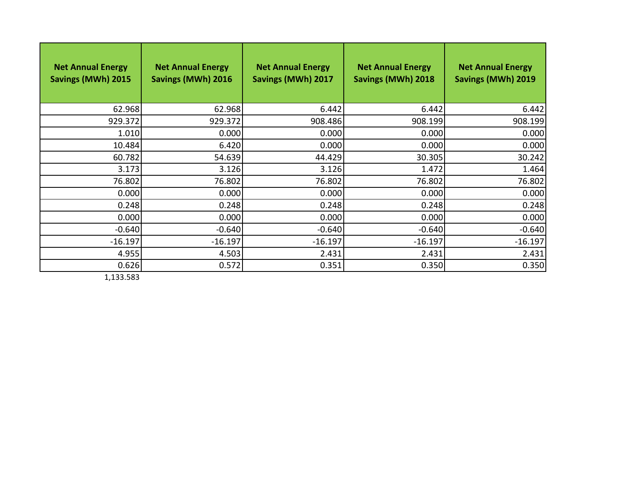| <b>Net Annual Energy</b><br>Savings (MWh) 2015 | <b>Net Annual Energy</b><br>Savings (MWh) 2016 | <b>Net Annual Energy</b><br>Savings (MWh) 2017 | <b>Net Annual Energy</b><br>Savings (MWh) 2018 | <b>Net Annual Energy</b><br>Savings (MWh) 2019 |
|------------------------------------------------|------------------------------------------------|------------------------------------------------|------------------------------------------------|------------------------------------------------|
| 62.968                                         | 62.968                                         | 6.442                                          | 6.442                                          | 6.442                                          |
| 929.372                                        | 929.372                                        | 908.486                                        | 908.199                                        | 908.199                                        |
| 1.010                                          | 0.000                                          | 0.000                                          | 0.000                                          | 0.000                                          |
| 10.484                                         | 6.420                                          | 0.000                                          | 0.000                                          | 0.000                                          |
| 60.782                                         | 54.639                                         | 44.429                                         | 30.305                                         | 30.242                                         |
| 3.173                                          | 3.126                                          | 3.126                                          | 1.472                                          | 1.464                                          |
| 76.802                                         | 76.802                                         | 76.802                                         | 76.802                                         | 76.802                                         |
| 0.000                                          | 0.000                                          | 0.000                                          | 0.000                                          | 0.000                                          |
| 0.248                                          | 0.248                                          | 0.248                                          | 0.248                                          | 0.248                                          |
| 0.000                                          | 0.000                                          | 0.000                                          | 0.000                                          | 0.000                                          |
| $-0.640$                                       | $-0.640$                                       | $-0.640$                                       | $-0.640$                                       | $-0.640$                                       |
| $-16.197$                                      | $-16.197$                                      | $-16.197$                                      | $-16.197$                                      | $-16.197$                                      |
| 4.955                                          | 4.503                                          | 2.431                                          | 2.431                                          | 2.431                                          |
| 0.626                                          | 0.572                                          | 0.351                                          | 0.350                                          | 0.350                                          |

1,133.583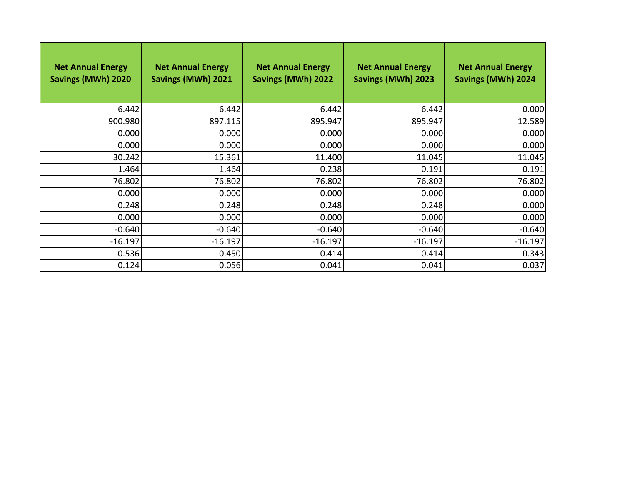| <b>Net Annual Energy</b><br>Savings (MWh) 2020 | <b>Net Annual Energy</b><br><b>Savings (MWh) 2021</b> | <b>Net Annual Energy</b><br><b>Savings (MWh) 2022</b> | <b>Net Annual Energy</b><br>Savings (MWh) 2023 | <b>Net Annual Energy</b><br><b>Savings (MWh) 2024</b> |
|------------------------------------------------|-------------------------------------------------------|-------------------------------------------------------|------------------------------------------------|-------------------------------------------------------|
| 6.442                                          | 6.442                                                 | 6.442                                                 | 6.442                                          | 0.000                                                 |
| 900.980                                        | 897.115                                               | 895.947                                               | 895.947                                        | 12.589                                                |
| 0.000                                          | 0.000                                                 | 0.000                                                 | 0.000                                          | 0.000                                                 |
| 0.000                                          | 0.000                                                 | 0.000                                                 | 0.000                                          | 0.000                                                 |
| 30.242                                         | 15.361                                                | 11.400                                                | 11.045                                         | 11.045                                                |
| 1.464                                          | 1.464                                                 | 0.238                                                 | 0.191                                          | 0.191                                                 |
| 76.802                                         | 76.802                                                | 76.802                                                | 76.802                                         | 76.802                                                |
| 0.000                                          | 0.000                                                 | 0.000                                                 | 0.000                                          | 0.000                                                 |
| 0.248                                          | 0.248                                                 | 0.248                                                 | 0.248                                          | 0.000                                                 |
| 0.000                                          | 0.000                                                 | 0.000                                                 | 0.000                                          | 0.000                                                 |
| $-0.640$                                       | $-0.640$                                              | $-0.640$                                              | $-0.640$                                       | $-0.640$                                              |
| $-16.197$                                      | $-16.197$                                             | $-16.197$                                             | $-16.197$                                      | $-16.197$                                             |
| 0.536                                          | 0.450                                                 | 0.414                                                 | 0.414                                          | 0.343                                                 |
| 0.124                                          | 0.056                                                 | 0.041                                                 | 0.041                                          | 0.037                                                 |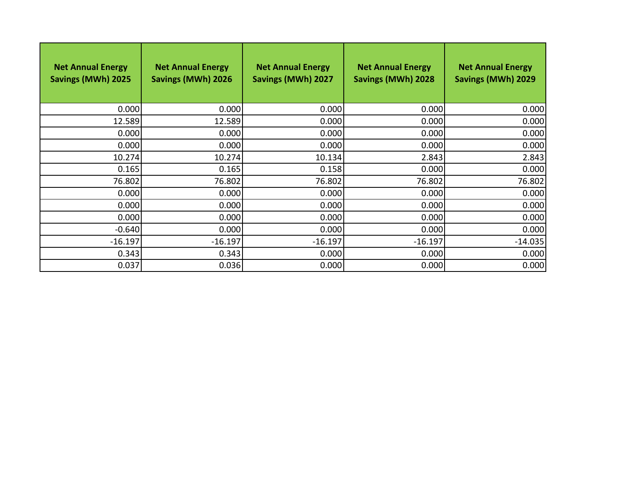| <b>Net Annual Energy</b><br>Savings (MWh) 2025 | <b>Net Annual Energy</b><br><b>Savings (MWh) 2026</b> | <b>Net Annual Energy</b><br>Savings (MWh) 2027 | <b>Net Annual Energy</b><br>Savings (MWh) 2028 | <b>Net Annual Energy</b><br>Savings (MWh) 2029 |
|------------------------------------------------|-------------------------------------------------------|------------------------------------------------|------------------------------------------------|------------------------------------------------|
| 0.000                                          | 0.000                                                 | 0.000                                          | 0.000                                          | 0.000                                          |
| 12.589                                         | 12.589                                                | 0.000                                          | 0.000                                          | 0.000                                          |
| 0.000                                          | 0.000                                                 | 0.000                                          | 0.000                                          | 0.000                                          |
| 0.000                                          | 0.000                                                 | 0.000                                          | 0.000                                          | 0.000                                          |
| 10.274                                         | 10.274                                                | 10.134                                         | 2.843                                          | 2.843                                          |
| 0.165                                          | 0.165                                                 | 0.158                                          | 0.000                                          | 0.000                                          |
| 76.802                                         | 76.802                                                | 76.802                                         | 76.802                                         | 76.802                                         |
| 0.000                                          | 0.000                                                 | 0.000                                          | 0.000                                          | 0.000                                          |
| 0.000                                          | 0.000                                                 | 0.000                                          | 0.000                                          | 0.000                                          |
| 0.000                                          | 0.000                                                 | 0.000                                          | 0.000                                          | 0.000                                          |
| $-0.640$                                       | 0.000                                                 | 0.000                                          | 0.000                                          | 0.000                                          |
| $-16.197$                                      | $-16.197$                                             | $-16.197$                                      | $-16.197$                                      | $-14.035$                                      |
| 0.343                                          | 0.343                                                 | 0.000                                          | 0.000                                          | 0.000                                          |
| 0.037                                          | 0.036                                                 | 0.000                                          | 0.000                                          | 0.000                                          |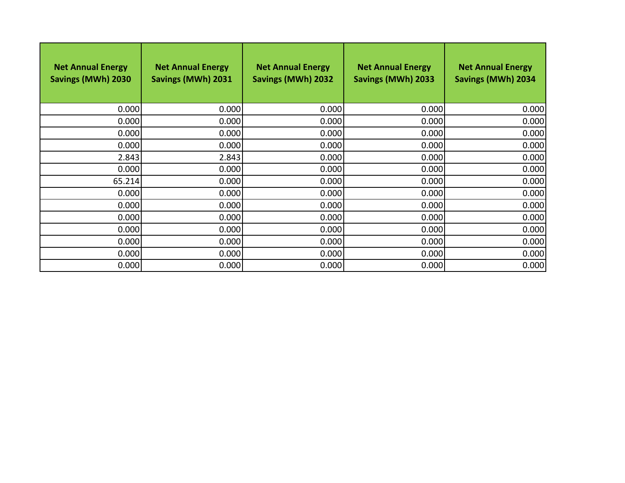| <b>Net Annual Energy</b><br>Savings (MWh) 2030 | <b>Net Annual Energy</b><br>Savings (MWh) 2031 | <b>Net Annual Energy</b><br><b>Savings (MWh) 2032</b> | <b>Net Annual Energy</b><br>Savings (MWh) 2033 | <b>Net Annual Energy</b><br><b>Savings (MWh) 2034</b> |
|------------------------------------------------|------------------------------------------------|-------------------------------------------------------|------------------------------------------------|-------------------------------------------------------|
| 0.000                                          | 0.000                                          | 0.000                                                 | 0.000                                          | 0.000                                                 |
| 0.000                                          | 0.000                                          | 0.000                                                 | 0.000                                          | 0.000                                                 |
| 0.000                                          | 0.000                                          | 0.000                                                 | 0.000                                          | 0.000                                                 |
| 0.000                                          | 0.000                                          | 0.000                                                 | 0.000                                          | 0.000                                                 |
| 2.843                                          | 2.843                                          | 0.000                                                 | 0.000                                          | 0.000                                                 |
| 0.000                                          | 0.000                                          | 0.000                                                 | 0.000                                          | 0.000                                                 |
| 65.214                                         | 0.000                                          | 0.000                                                 | 0.000                                          | 0.000                                                 |
| 0.000                                          | 0.000                                          | 0.000                                                 | 0.000                                          | 0.000                                                 |
| 0.000                                          | 0.000                                          | 0.000                                                 | 0.000                                          | 0.000                                                 |
| 0.000                                          | 0.000                                          | 0.000                                                 | 0.000                                          | 0.000                                                 |
| 0.000                                          | 0.000                                          | 0.000                                                 | 0.000                                          | 0.000                                                 |
| 0.000                                          | 0.000                                          | 0.000                                                 | 0.000                                          | 0.000                                                 |
| 0.000                                          | 0.000                                          | 0.000                                                 | 0.000                                          | 0.000                                                 |
| 0.000                                          | 0.000                                          | 0.000                                                 | 0.000                                          | 0.000                                                 |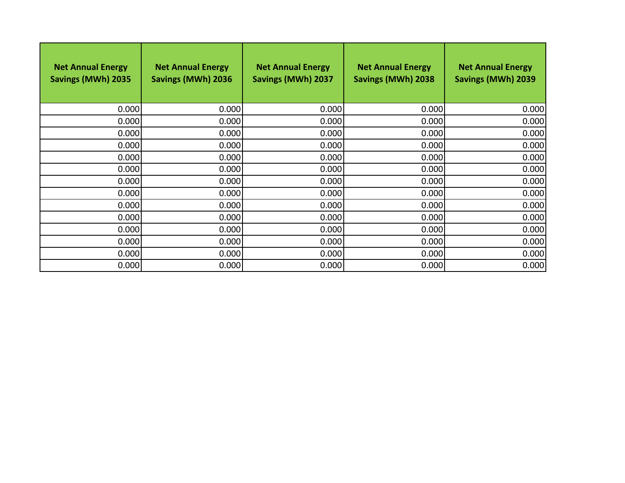| <b>Net Annual Energy</b><br>Savings (MWh) 2035 | <b>Net Annual Energy</b><br>Savings (MWh) 2036 | <b>Net Annual Energy</b><br>Savings (MWh) 2037 | <b>Net Annual Energy</b><br>Savings (MWh) 2038 | <b>Net Annual Energy</b><br>Savings (MWh) 2039 |
|------------------------------------------------|------------------------------------------------|------------------------------------------------|------------------------------------------------|------------------------------------------------|
| 0.000                                          | 0.000                                          | 0.000                                          | 0.000                                          | 0.000                                          |
| 0.000                                          | 0.000                                          | 0.000                                          | 0.000                                          | 0.000                                          |
| 0.000                                          | 0.000                                          | 0.000                                          | 0.000                                          | 0.000                                          |
| 0.000                                          | 0.000                                          | 0.000                                          | 0.000                                          | 0.000                                          |
| 0.000                                          | 0.000                                          | 0.000                                          | 0.000                                          | 0.000                                          |
| 0.000                                          | 0.000                                          | 0.000                                          | 0.000                                          | 0.000                                          |
| 0.000                                          | 0.000                                          | 0.000                                          | 0.000                                          | 0.000                                          |
| 0.000                                          | 0.000                                          | 0.000                                          | 0.000                                          | 0.000                                          |
| 0.000                                          | 0.000                                          | 0.000                                          | 0.000                                          | 0.000                                          |
| 0.000                                          | 0.000                                          | 0.000                                          | 0.000                                          | 0.000                                          |
| 0.000                                          | 0.000                                          | 0.000                                          | 0.000                                          | 0.000                                          |
| 0.000                                          | 0.000                                          | 0.000                                          | 0.000                                          | 0.000                                          |
| 0.000                                          | 0.000                                          | 0.000                                          | 0.000                                          | 0.000                                          |
| 0.000                                          | 0.000                                          | 0.000                                          | 0.000                                          | 0.000                                          |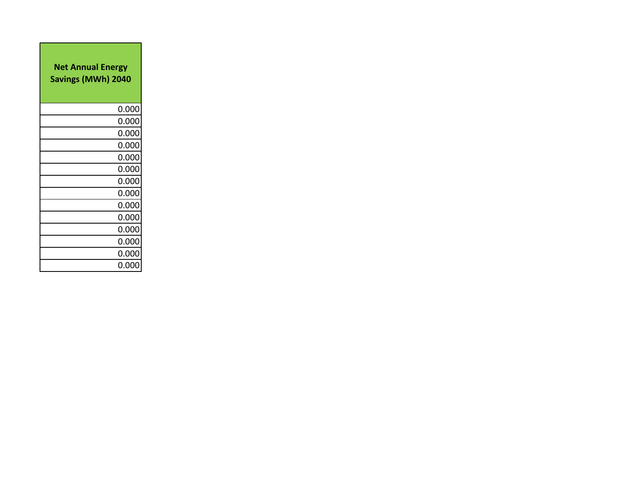| <b>Net Annual Energy</b><br><b>Savings (MWh) 2040</b> |       |  |  |  |
|-------------------------------------------------------|-------|--|--|--|
|                                                       | 0.000 |  |  |  |
|                                                       | 0.000 |  |  |  |
|                                                       | 0.000 |  |  |  |
|                                                       | 0.000 |  |  |  |
|                                                       | 0.000 |  |  |  |
|                                                       | 0.000 |  |  |  |
|                                                       | 0.000 |  |  |  |
|                                                       | 0.000 |  |  |  |
|                                                       | 0.000 |  |  |  |
|                                                       | 0.000 |  |  |  |
|                                                       | 0.000 |  |  |  |
|                                                       | 0.000 |  |  |  |
|                                                       | 0.000 |  |  |  |
|                                                       | 0.000 |  |  |  |

 $\mathcal{L}^{\mathcal{L}}(\mathcal{L}^{\mathcal{L}})$  and the contract of the contract of the contract of the contract of the contract of the contract of the contract of the contract of the contract of the contract of the contract of the contrac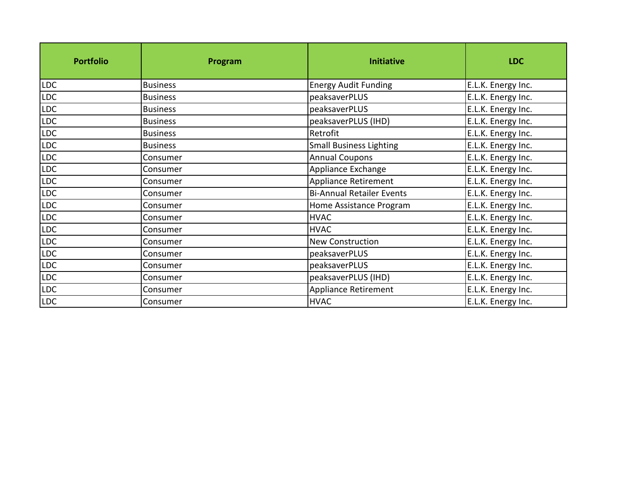| <b>Portfolio</b> | Program         | <b>Initiative</b>                | <b>LDC</b>         |
|------------------|-----------------|----------------------------------|--------------------|
| LDC              | <b>Business</b> | <b>Energy Audit Funding</b>      | E.L.K. Energy Inc. |
| LDC              | <b>Business</b> | peaksaverPLUS                    | E.L.K. Energy Inc. |
| LDC              | <b>Business</b> | peaksaverPLUS                    | E.L.K. Energy Inc. |
| LDC              | <b>Business</b> | peaksaverPLUS (IHD)              | E.L.K. Energy Inc. |
| <b>LDC</b>       | <b>Business</b> | Retrofit                         | E.L.K. Energy Inc. |
| LDC              | <b>Business</b> | <b>Small Business Lighting</b>   | E.L.K. Energy Inc. |
| <b>LDC</b>       | Consumer        | <b>Annual Coupons</b>            | E.L.K. Energy Inc. |
| LDC              | Consumer        | Appliance Exchange               | E.L.K. Energy Inc. |
| LDC              | Consumer        | Appliance Retirement             | E.L.K. Energy Inc. |
| LDC              | Consumer        | <b>Bi-Annual Retailer Events</b> | E.L.K. Energy Inc. |
| <b>LDC</b>       | Consumer        | Home Assistance Program          | E.L.K. Energy Inc. |
| <b>LDC</b>       | Consumer        | <b>HVAC</b>                      | E.L.K. Energy Inc. |
| <b>LDC</b>       | Consumer        | <b>HVAC</b>                      | E.L.K. Energy Inc. |
| <b>LDC</b>       | Consumer        | <b>New Construction</b>          | E.L.K. Energy Inc. |
| LDC              | Consumer        | peaksaverPLUS                    | E.L.K. Energy Inc. |
| LDC              | Consumer        | peaksaverPLUS                    | E.L.K. Energy Inc. |
| LDC              | Consumer        | peaksaverPLUS (IHD)              | E.L.K. Energy Inc. |
| LDC              | Consumer        | Appliance Retirement             | E.L.K. Energy Inc. |
| <b>LDC</b>       | Consumer        | <b>HVAC</b>                      | E.L.K. Energy Inc. |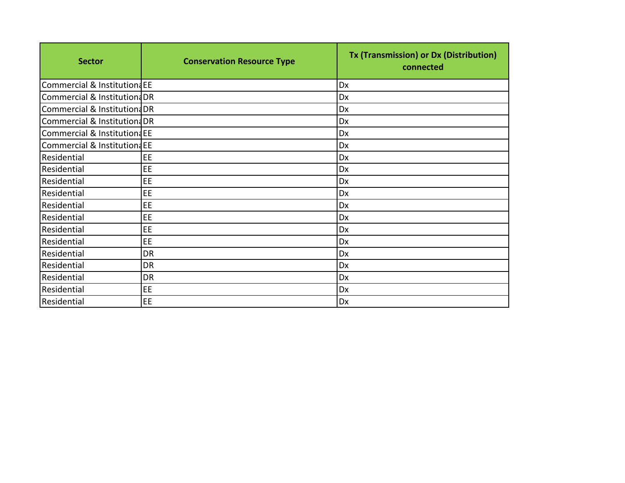| <b>Sector</b>                | <b>Conservation Resource Type</b> | Tx (Transmission) or Dx (Distribution)<br>connected |
|------------------------------|-----------------------------------|-----------------------------------------------------|
| Commercial & InstitutiondEE  |                                   | Dx                                                  |
| Commercial & Institution: DR |                                   | Dx                                                  |
| Commercial & Institution: DR |                                   | Dx                                                  |
| Commercial & Institution: DR |                                   | Dx                                                  |
| Commercial & InstitutiondEE  |                                   | Dx                                                  |
| Commercial & InstitutionaEE  |                                   | Dx                                                  |
| Residential                  | EE                                | Dx                                                  |
| Residential                  | EE                                | Dx                                                  |
| Residential                  | EE                                | Dx                                                  |
| Residential                  | EE                                | Dx                                                  |
| Residential                  | EE                                | Dx                                                  |
| Residential                  | EE                                | Dx                                                  |
| <b>Residential</b>           | EE                                | Dx                                                  |
| Residential                  | EE.                               | Dx                                                  |
| Residential                  | <b>DR</b>                         | Dx                                                  |
| Residential                  | <b>DR</b>                         | Dx                                                  |
| Residential                  | <b>DR</b>                         | Dx                                                  |
| Residential                  | EE                                | Dx                                                  |
| Residential                  | EE                                | Dx                                                  |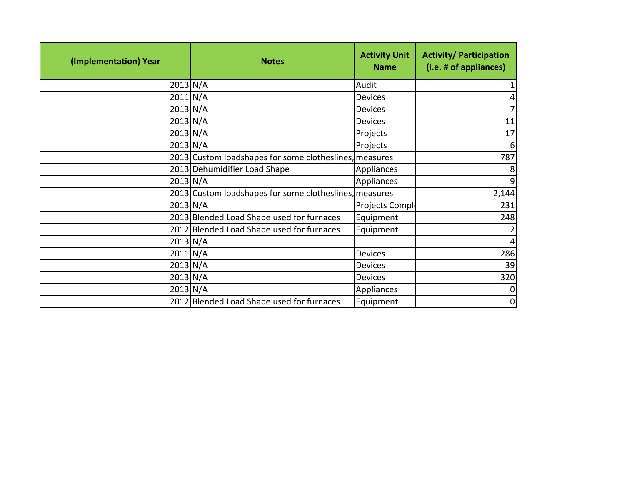| (Implementation) Year | <b>Notes</b>                                           | <b>Activity Unit</b><br><b>Name</b> | <b>Activity/ Participation</b><br>(i.e. # of appliances) |
|-----------------------|--------------------------------------------------------|-------------------------------------|----------------------------------------------------------|
|                       | $2013$ N/A                                             | Audit                               |                                                          |
|                       | $2011$ N/A                                             | <b>Devices</b>                      |                                                          |
|                       | $2013\text{N/A}$                                       | <b>Devices</b>                      |                                                          |
|                       | $2013\text{N/A}$                                       | <b>Devices</b>                      | 11                                                       |
|                       | $2013\vert N/A$                                        | Projects                            | 17                                                       |
|                       | $2013\text{N/A}$                                       | Projects                            | 6                                                        |
|                       | 2013 Custom loadshapes for some clotheslines, measures |                                     | 787                                                      |
|                       | 2013 Dehumidifier Load Shape                           | Appliances                          |                                                          |
|                       | $2013\text{N/A}$                                       | Appliances                          |                                                          |
|                       | 2013 Custom loadshapes for some clotheslines, measures |                                     | 2,144                                                    |
|                       | $2013\text{N/A}$                                       | Projects Compl                      | 231                                                      |
|                       | 2013 Blended Load Shape used for furnaces              | Equipment                           | 248                                                      |
|                       | 2012 Blended Load Shape used for furnaces              | Equipment                           |                                                          |
|                       | $2013\text{N/A}$                                       |                                     |                                                          |
|                       | $2011$ N/A                                             | <b>Devices</b>                      | 286                                                      |
|                       | $2013\text{N/A}$                                       | <b>Devices</b>                      | 39                                                       |
|                       | $2013\text{N/A}$                                       | <b>Devices</b>                      | 320                                                      |
|                       | $2013$ N/A                                             | Appliances                          |                                                          |
|                       | 2012 Blended Load Shape used for furnaces              | Equipment                           | 0                                                        |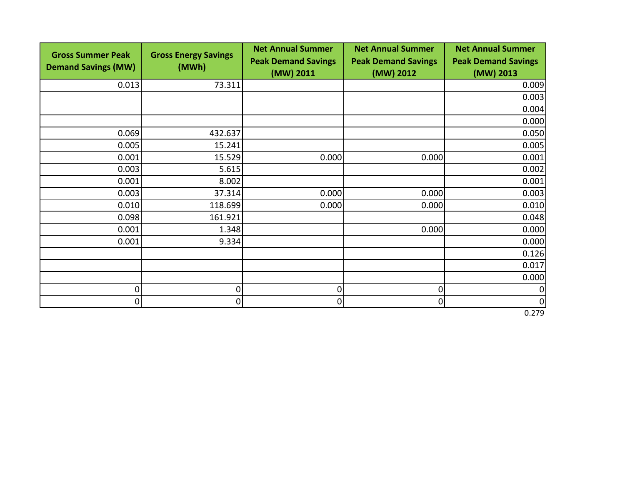| <b>Gross Summer Peak</b>   | <b>Gross Energy Savings</b> | <b>Net Annual Summer</b>   | <b>Net Annual Summer</b>   | <b>Net Annual Summer</b>   |
|----------------------------|-----------------------------|----------------------------|----------------------------|----------------------------|
| <b>Demand Savings (MW)</b> | (MWh)                       | <b>Peak Demand Savings</b> | <b>Peak Demand Savings</b> | <b>Peak Demand Savings</b> |
|                            |                             | (MW) 2011                  | (MW) 2012                  | (MW) 2013                  |
| 0.013                      | 73.311                      |                            |                            | 0.009                      |
|                            |                             |                            |                            | 0.003                      |
|                            |                             |                            |                            | 0.004                      |
|                            |                             |                            |                            | 0.000                      |
| 0.069                      | 432.637                     |                            |                            | 0.050                      |
| 0.005                      | 15.241                      |                            |                            | 0.005                      |
| 0.001                      | 15.529                      | 0.000                      | 0.000                      | 0.001                      |
| 0.003                      | 5.615                       |                            |                            | 0.002                      |
| 0.001                      | 8.002                       |                            |                            | 0.001                      |
| 0.003                      | 37.314                      | 0.000                      | 0.000                      | 0.003                      |
| 0.010                      | 118.699                     | 0.000                      | 0.000                      | 0.010                      |
| 0.098                      | 161.921                     |                            |                            | 0.048                      |
| 0.001                      | 1.348                       |                            | 0.000                      | 0.000                      |
| 0.001                      | 9.334                       |                            |                            | 0.000                      |
|                            |                             |                            |                            | 0.126                      |
|                            |                             |                            |                            | 0.017                      |
|                            |                             |                            |                            | 0.000                      |
| 0                          | $\overline{0}$              | 0                          | 0                          | $\boldsymbol{0}$           |
| $\overline{0}$             | $\overline{0}$              | 0                          | 0                          | $\overline{0}$             |

0.279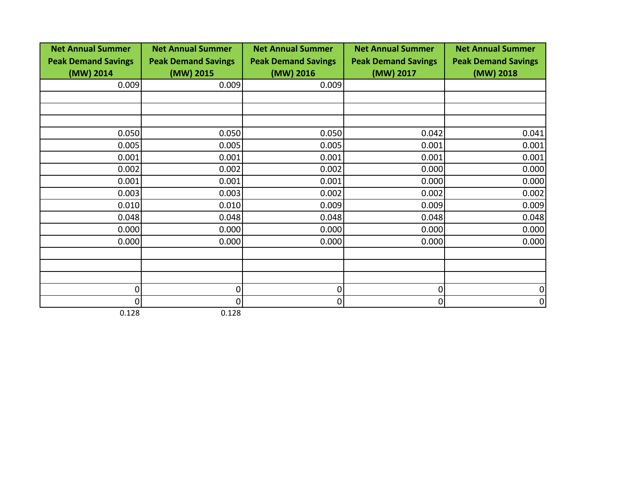| <b>Net Annual Summer</b>   | <b>Net Annual Summer</b>   | <b>Net Annual Summer</b>   | <b>Net Annual Summer</b>   | <b>Net Annual Summer</b>   |
|----------------------------|----------------------------|----------------------------|----------------------------|----------------------------|
| <b>Peak Demand Savings</b> | <b>Peak Demand Savings</b> | <b>Peak Demand Savings</b> | <b>Peak Demand Savings</b> | <b>Peak Demand Savings</b> |
| (MW) 2014                  | (MW) 2015                  | (MW) 2016                  | (MW) 2017                  | (MW) 2018                  |
| 0.009                      | 0.009                      | 0.009                      |                            |                            |
|                            |                            |                            |                            |                            |
|                            |                            |                            |                            |                            |
|                            |                            |                            |                            |                            |
| 0.050                      | 0.050                      | 0.050                      | 0.042                      | 0.041                      |
| 0.005                      | 0.005                      | 0.005                      | 0.001                      | 0.001                      |
| 0.001                      | 0.001                      | 0.001                      | 0.001                      | 0.001                      |
| 0.002                      | 0.002                      | 0.002                      | 0.000                      | 0.000                      |
| 0.001                      | 0.001                      | 0.001                      | 0.000                      | 0.000                      |
| 0.003                      | 0.003                      | 0.002                      | 0.002                      | 0.002                      |
| 0.010                      | 0.010                      | 0.009                      | 0.009                      | 0.009                      |
| 0.048                      | 0.048                      | 0.048                      | 0.048                      | 0.048                      |
| 0.000                      | 0.000                      | 0.000                      | 0.000                      | 0.000                      |
| 0.000                      | 0.000                      | 0.000                      | 0.000                      | 0.000                      |
|                            |                            |                            |                            |                            |
|                            |                            |                            |                            |                            |
|                            |                            |                            |                            |                            |
| 0                          | $\Omega$                   | 0                          | 0                          | 0                          |
| 0                          | 0                          | 0                          | 0                          | 0                          |
| 0.128                      | 0.128                      |                            |                            |                            |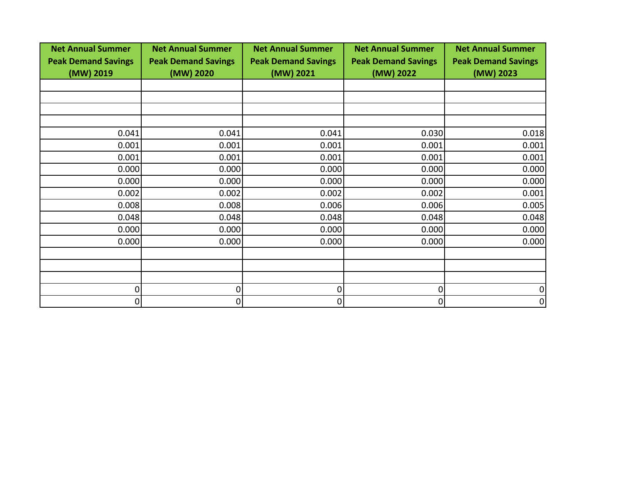| <b>Net Annual Summer</b><br><b>Peak Demand Savings</b> | <b>Net Annual Summer</b><br><b>Peak Demand Savings</b> | <b>Net Annual Summer</b><br><b>Peak Demand Savings</b> | <b>Net Annual Summer</b><br><b>Peak Demand Savings</b> | <b>Net Annual Summer</b><br><b>Peak Demand Savings</b> |
|--------------------------------------------------------|--------------------------------------------------------|--------------------------------------------------------|--------------------------------------------------------|--------------------------------------------------------|
| (MW) 2019                                              | (MW) 2020                                              | (MW) 2021                                              | (MW) 2022                                              | (MW) 2023                                              |
|                                                        |                                                        |                                                        |                                                        |                                                        |
|                                                        |                                                        |                                                        |                                                        |                                                        |
|                                                        |                                                        |                                                        |                                                        |                                                        |
| 0.041                                                  | 0.041                                                  | 0.041                                                  | 0.030                                                  | 0.018                                                  |
| 0.001                                                  | 0.001                                                  | 0.001                                                  | 0.001                                                  | 0.001                                                  |
| 0.001                                                  | 0.001                                                  | 0.001                                                  | 0.001                                                  | 0.001                                                  |
| 0.000                                                  | 0.000                                                  | 0.000                                                  | 0.000                                                  | 0.000                                                  |
| 0.000                                                  | 0.000                                                  | 0.000                                                  | 0.000                                                  | 0.000                                                  |
| 0.002                                                  | 0.002                                                  | 0.002                                                  | 0.002                                                  | 0.001                                                  |
| 0.008                                                  | 0.008                                                  | 0.006                                                  | 0.006                                                  | 0.005                                                  |
| 0.048                                                  | 0.048                                                  | 0.048                                                  | 0.048                                                  | 0.048                                                  |
| 0.000                                                  | 0.000                                                  | 0.000                                                  | 0.000                                                  | 0.000                                                  |
| 0.000                                                  | 0.000                                                  | 0.000                                                  | 0.000                                                  | 0.000                                                  |
|                                                        |                                                        |                                                        |                                                        |                                                        |
|                                                        |                                                        |                                                        |                                                        |                                                        |
|                                                        |                                                        |                                                        |                                                        |                                                        |
| 0                                                      | 0                                                      | 0                                                      | 0                                                      |                                                        |
| $\overline{0}$                                         | 0                                                      | 0                                                      | 0                                                      | 0                                                      |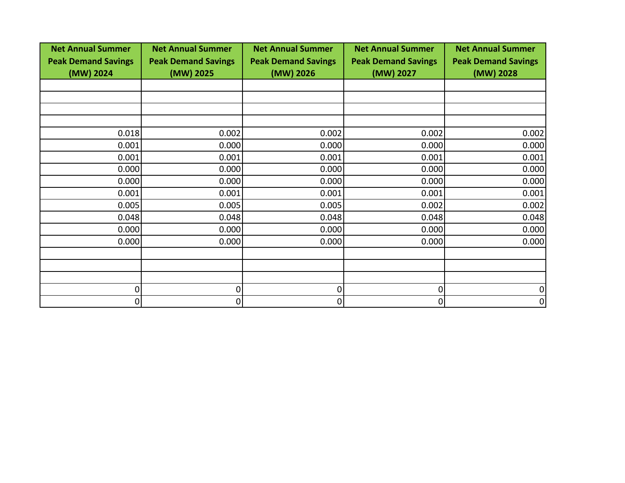| <b>Net Annual Summer</b><br><b>Peak Demand Savings</b> | <b>Net Annual Summer</b><br><b>Peak Demand Savings</b> | <b>Net Annual Summer</b><br><b>Peak Demand Savings</b> | <b>Net Annual Summer</b><br><b>Peak Demand Savings</b> | <b>Net Annual Summer</b><br><b>Peak Demand Savings</b> |
|--------------------------------------------------------|--------------------------------------------------------|--------------------------------------------------------|--------------------------------------------------------|--------------------------------------------------------|
| (MW) 2024                                              | (MW) 2025                                              | (MW) 2026                                              | (MW) 2027                                              | (MW) 2028                                              |
|                                                        |                                                        |                                                        |                                                        |                                                        |
|                                                        |                                                        |                                                        |                                                        |                                                        |
|                                                        |                                                        |                                                        |                                                        |                                                        |
| 0.018                                                  | 0.002                                                  | 0.002                                                  | 0.002                                                  | 0.002                                                  |
| 0.001                                                  | 0.000                                                  | 0.000                                                  | 0.000                                                  | 0.000                                                  |
| 0.001                                                  | 0.001                                                  | 0.001                                                  | 0.001                                                  | 0.001                                                  |
| 0.000                                                  | 0.000                                                  | 0.000                                                  | 0.000                                                  | 0.000                                                  |
| 0.000                                                  | 0.000                                                  | 0.000                                                  | 0.000                                                  | 0.000                                                  |
| 0.001                                                  | 0.001                                                  | 0.001                                                  | 0.001                                                  | 0.001                                                  |
| 0.005                                                  | 0.005                                                  | 0.005                                                  | 0.002                                                  | 0.002                                                  |
| 0.048                                                  | 0.048                                                  | 0.048                                                  | 0.048                                                  | 0.048                                                  |
| 0.000                                                  | 0.000                                                  | 0.000                                                  | 0.000                                                  | 0.000                                                  |
| 0.000                                                  | 0.000                                                  | 0.000                                                  | 0.000                                                  | 0.000                                                  |
|                                                        |                                                        |                                                        |                                                        |                                                        |
|                                                        |                                                        |                                                        |                                                        |                                                        |
|                                                        |                                                        |                                                        |                                                        |                                                        |
| 0                                                      | 0                                                      | 0                                                      | 0                                                      |                                                        |
| $\overline{0}$                                         | 0                                                      | 0                                                      | 0                                                      | 0                                                      |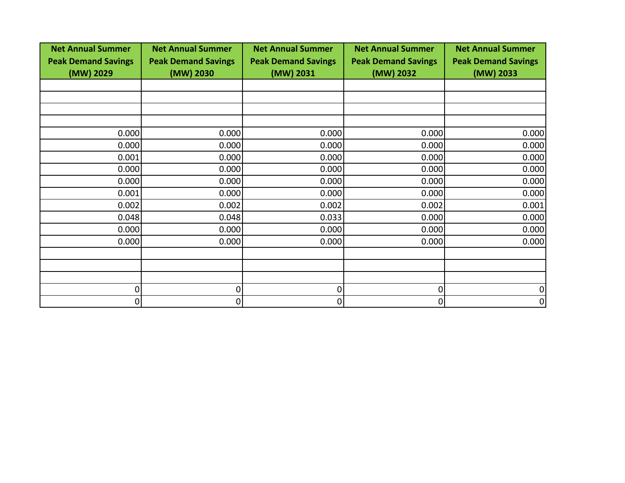| <b>Net Annual Summer</b><br><b>Peak Demand Savings</b> | <b>Net Annual Summer</b><br><b>Peak Demand Savings</b> | <b>Net Annual Summer</b><br><b>Peak Demand Savings</b> | <b>Net Annual Summer</b><br><b>Peak Demand Savings</b> | <b>Net Annual Summer</b><br><b>Peak Demand Savings</b> |
|--------------------------------------------------------|--------------------------------------------------------|--------------------------------------------------------|--------------------------------------------------------|--------------------------------------------------------|
| (MW) 2029                                              | (MW) 2030                                              | (MW) 2031                                              | (MW) 2032                                              | (MW) 2033                                              |
|                                                        |                                                        |                                                        |                                                        |                                                        |
|                                                        |                                                        |                                                        |                                                        |                                                        |
|                                                        |                                                        |                                                        |                                                        |                                                        |
| 0.000                                                  | 0.000                                                  | 0.000                                                  | 0.000                                                  | 0.000                                                  |
| 0.000                                                  | 0.000                                                  | 0.000                                                  | 0.000                                                  | 0.000                                                  |
| 0.001                                                  | 0.000                                                  | 0.000                                                  | 0.000                                                  | 0.000                                                  |
| 0.000                                                  | 0.000                                                  | 0.000                                                  | 0.000                                                  | 0.000                                                  |
| 0.000                                                  | 0.000                                                  | 0.000                                                  | 0.000                                                  | 0.000                                                  |
| 0.001                                                  | 0.000                                                  | 0.000                                                  | 0.000                                                  | 0.000                                                  |
| 0.002                                                  | 0.002                                                  | 0.002                                                  | 0.002                                                  | 0.001                                                  |
| 0.048                                                  | 0.048                                                  | 0.033                                                  | 0.000                                                  | 0.000                                                  |
| 0.000                                                  | 0.000                                                  | 0.000                                                  | 0.000                                                  | 0.000                                                  |
| 0.000                                                  | 0.000                                                  | 0.000                                                  | 0.000                                                  | 0.000                                                  |
|                                                        |                                                        |                                                        |                                                        |                                                        |
|                                                        |                                                        |                                                        |                                                        |                                                        |
|                                                        |                                                        |                                                        |                                                        |                                                        |
| 0                                                      | 0                                                      | 0                                                      | 0                                                      |                                                        |
| $\overline{0}$                                         | 0                                                      | 0                                                      | 0                                                      | 0                                                      |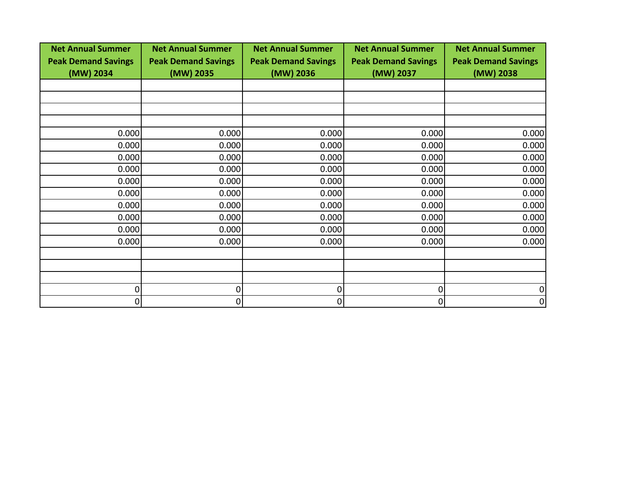| <b>Net Annual Summer</b><br><b>Peak Demand Savings</b> | <b>Net Annual Summer</b><br><b>Peak Demand Savings</b> | <b>Net Annual Summer</b><br><b>Peak Demand Savings</b> | <b>Net Annual Summer</b><br><b>Peak Demand Savings</b> | <b>Net Annual Summer</b><br><b>Peak Demand Savings</b> |
|--------------------------------------------------------|--------------------------------------------------------|--------------------------------------------------------|--------------------------------------------------------|--------------------------------------------------------|
| (MW) 2034                                              | (MW) 2035                                              | (MW) 2036                                              | (MW) 2037                                              | (MW) 2038                                              |
|                                                        |                                                        |                                                        |                                                        |                                                        |
|                                                        |                                                        |                                                        |                                                        |                                                        |
|                                                        |                                                        |                                                        |                                                        |                                                        |
| 0.000                                                  | 0.000                                                  | 0.000                                                  | 0.000                                                  | 0.000                                                  |
| 0.000                                                  | 0.000                                                  | 0.000                                                  | 0.000                                                  | 0.000                                                  |
| 0.000                                                  | 0.000                                                  | 0.000                                                  | 0.000                                                  | 0.000                                                  |
| 0.000                                                  | 0.000                                                  | 0.000                                                  | 0.000                                                  | 0.000                                                  |
| 0.000                                                  | 0.000                                                  | 0.000                                                  | 0.000                                                  | 0.000                                                  |
| 0.000                                                  | 0.000                                                  | 0.000                                                  | 0.000                                                  | 0.000                                                  |
| 0.000                                                  | 0.000                                                  | 0.000                                                  | 0.000                                                  | 0.000                                                  |
| 0.000                                                  | 0.000                                                  | 0.000                                                  | 0.000                                                  | 0.000                                                  |
| 0.000                                                  | 0.000                                                  | 0.000                                                  | 0.000                                                  | 0.000                                                  |
| 0.000                                                  | 0.000                                                  | 0.000                                                  | 0.000                                                  | 0.000                                                  |
|                                                        |                                                        |                                                        |                                                        |                                                        |
|                                                        |                                                        |                                                        |                                                        |                                                        |
|                                                        |                                                        |                                                        |                                                        |                                                        |
| 0                                                      | 0                                                      | 0                                                      | 0                                                      |                                                        |
| $\overline{0}$                                         | 0                                                      | 0                                                      | 0                                                      | 0                                                      |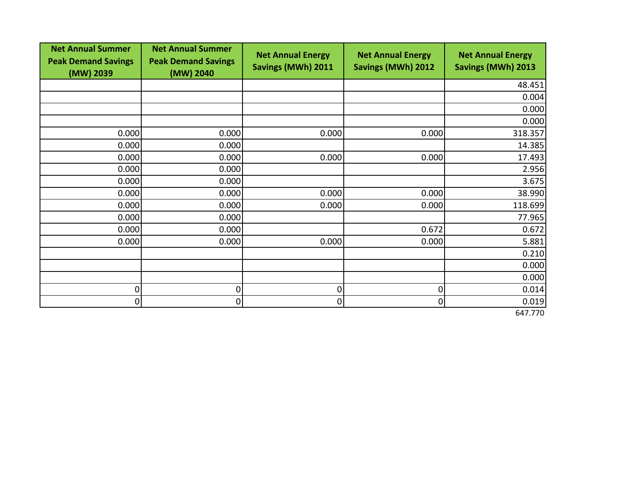| <b>Net Annual Summer</b><br><b>Peak Demand Savings</b><br>(MW) 2039 | <b>Net Annual Summer</b><br><b>Peak Demand Savings</b><br>(MW) 2040 | <b>Net Annual Energy</b><br>Savings (MWh) 2011 | <b>Net Annual Energy</b><br><b>Savings (MWh) 2012</b> | <b>Net Annual Energy</b><br><b>Savings (MWh) 2013</b> |
|---------------------------------------------------------------------|---------------------------------------------------------------------|------------------------------------------------|-------------------------------------------------------|-------------------------------------------------------|
|                                                                     |                                                                     |                                                |                                                       | 48.451                                                |
|                                                                     |                                                                     |                                                |                                                       | 0.004                                                 |
|                                                                     |                                                                     |                                                |                                                       | 0.000                                                 |
|                                                                     |                                                                     |                                                |                                                       | 0.000                                                 |
| 0.000                                                               | 0.000                                                               | 0.000                                          | 0.000                                                 | 318.357                                               |
| 0.000                                                               | 0.000                                                               |                                                |                                                       | 14.385                                                |
| 0.000                                                               | 0.000                                                               | 0.000                                          | 0.000                                                 | 17.493                                                |
| 0.000                                                               | 0.000                                                               |                                                |                                                       | 2.956                                                 |
| 0.000                                                               | 0.000                                                               |                                                |                                                       | 3.675                                                 |
| 0.000                                                               | 0.000                                                               | 0.000                                          | 0.000                                                 | 38.990                                                |
| 0.000                                                               | 0.000                                                               | 0.000                                          | 0.000                                                 | 118.699                                               |
| 0.000                                                               | 0.000                                                               |                                                |                                                       | 77.965                                                |
| 0.000                                                               | 0.000                                                               |                                                | 0.672                                                 | 0.672                                                 |
| 0.000                                                               | 0.000                                                               | 0.000                                          | 0.000                                                 | 5.881                                                 |
|                                                                     |                                                                     |                                                |                                                       | 0.210                                                 |
|                                                                     |                                                                     |                                                |                                                       | 0.000                                                 |
|                                                                     |                                                                     |                                                |                                                       | 0.000                                                 |
| 0                                                                   | 0                                                                   | 0                                              | 0                                                     | 0.014                                                 |
| 0                                                                   | 0                                                                   | 0                                              | 0                                                     | 0.019                                                 |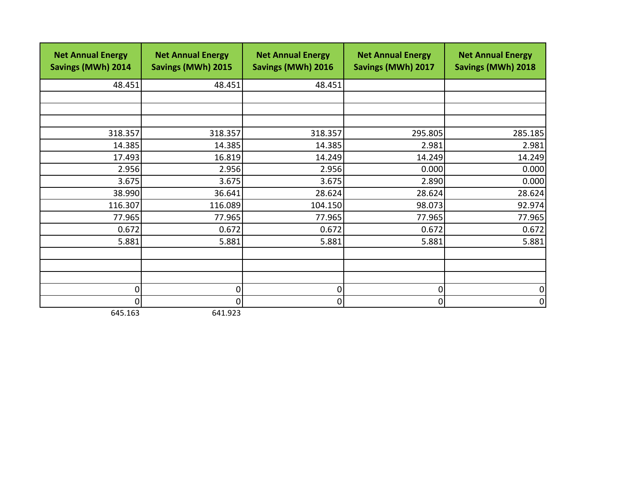| <b>Net Annual Energy</b><br>Savings (MWh) 2014 | <b>Net Annual Energy</b><br><b>Savings (MWh) 2015</b> | <b>Net Annual Energy</b><br><b>Savings (MWh) 2016</b> | <b>Net Annual Energy</b><br><b>Savings (MWh) 2017</b> | <b>Net Annual Energy</b><br>Savings (MWh) 2018 |
|------------------------------------------------|-------------------------------------------------------|-------------------------------------------------------|-------------------------------------------------------|------------------------------------------------|
| 48.451                                         | 48.451                                                | 48.451                                                |                                                       |                                                |
|                                                |                                                       |                                                       |                                                       |                                                |
|                                                |                                                       |                                                       |                                                       |                                                |
|                                                |                                                       |                                                       |                                                       |                                                |
| 318.357                                        | 318.357                                               | 318.357                                               | 295.805                                               | 285.185                                        |
| 14.385                                         | 14.385                                                | 14.385                                                | 2.981                                                 | 2.981                                          |
| 17.493                                         | 16.819                                                | 14.249                                                | 14.249                                                | 14.249                                         |
| 2.956                                          | 2.956                                                 | 2.956                                                 | 0.000                                                 | 0.000                                          |
| 3.675                                          | 3.675                                                 | 3.675                                                 | 2.890                                                 | 0.000                                          |
| 38.990                                         | 36.641                                                | 28.624                                                | 28.624                                                | 28.624                                         |
| 116.307                                        | 116.089                                               | 104.150                                               | 98.073                                                | 92.974                                         |
| 77.965                                         | 77.965                                                | 77.965                                                | 77.965                                                | 77.965                                         |
| 0.672                                          | 0.672                                                 | 0.672                                                 | 0.672                                                 | 0.672                                          |
| 5.881                                          | 5.881                                                 | 5.881                                                 | 5.881                                                 | 5.881                                          |
|                                                |                                                       |                                                       |                                                       |                                                |
|                                                |                                                       |                                                       |                                                       |                                                |
|                                                |                                                       |                                                       |                                                       |                                                |
| $\overline{0}$                                 | $\mathbf 0$                                           | 0                                                     | 0                                                     | 0                                              |
| $\overline{0}$                                 | 0                                                     | 0                                                     | 0                                                     | $\Omega$                                       |

645.163 641.923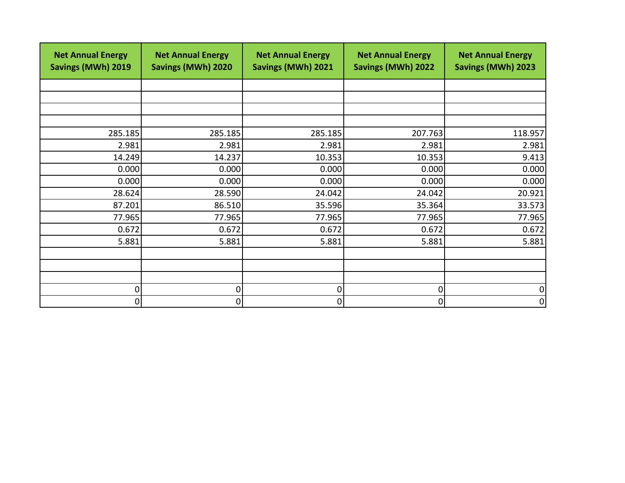| <b>Net Annual Energy</b><br>Savings (MWh) 2019 | <b>Net Annual Energy</b><br><b>Savings (MWh) 2020</b> | <b>Net Annual Energy</b><br>Savings (MWh) 2021 | <b>Net Annual Energy</b><br><b>Savings (MWh) 2022</b> | <b>Net Annual Energy</b><br><b>Savings (MWh) 2023</b> |
|------------------------------------------------|-------------------------------------------------------|------------------------------------------------|-------------------------------------------------------|-------------------------------------------------------|
|                                                |                                                       |                                                |                                                       |                                                       |
|                                                |                                                       |                                                |                                                       |                                                       |
|                                                |                                                       |                                                |                                                       |                                                       |
| 285.185                                        | 285.185                                               | 285.185                                        | 207.763                                               | 118.957                                               |
| 2.981                                          | 2.981                                                 | 2.981                                          | 2.981                                                 | 2.981                                                 |
| 14.249                                         | 14.237                                                | 10.353                                         | 10.353                                                | 9.413                                                 |
| 0.000                                          | 0.000                                                 | 0.000                                          | 0.000                                                 | 0.000                                                 |
| 0.000                                          | 0.000                                                 | 0.000                                          | 0.000                                                 | 0.000                                                 |
| 28.624                                         | 28.590                                                | 24.042                                         | 24.042                                                | 20.921                                                |
| 87.201                                         | 86.510                                                | 35.596                                         | 35.364                                                | 33.573                                                |
| 77.965                                         | 77.965                                                | 77.965                                         | 77.965                                                | 77.965                                                |
| 0.672                                          | 0.672                                                 | 0.672                                          | 0.672                                                 | 0.672                                                 |
| 5.881                                          | 5.881                                                 | 5.881                                          | 5.881                                                 | 5.881                                                 |
|                                                |                                                       |                                                |                                                       |                                                       |
|                                                |                                                       |                                                |                                                       |                                                       |
|                                                |                                                       |                                                |                                                       |                                                       |
| 0                                              | $\overline{0}$                                        | 0                                              | 0                                                     | 0                                                     |
| 0                                              | $\overline{0}$                                        | 0                                              | 0                                                     | 0                                                     |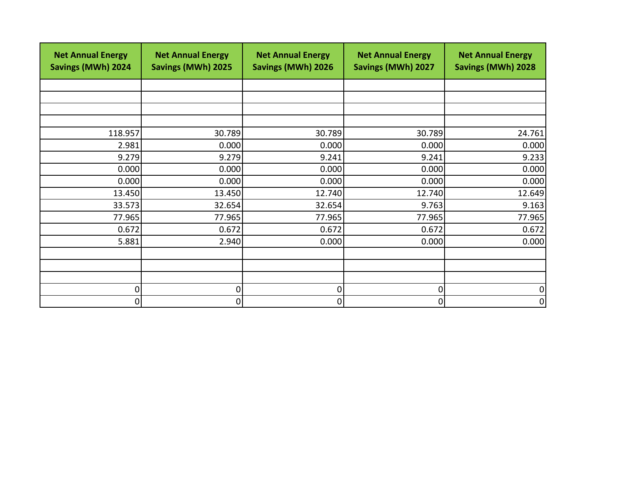| <b>Net Annual Energy</b><br>Savings (MWh) 2024 | <b>Net Annual Energy</b><br><b>Savings (MWh) 2025</b> | <b>Net Annual Energy</b><br><b>Savings (MWh) 2026</b> | <b>Net Annual Energy</b><br>Savings (MWh) 2027 | <b>Net Annual Energy</b><br><b>Savings (MWh) 2028</b> |
|------------------------------------------------|-------------------------------------------------------|-------------------------------------------------------|------------------------------------------------|-------------------------------------------------------|
|                                                |                                                       |                                                       |                                                |                                                       |
|                                                |                                                       |                                                       |                                                |                                                       |
|                                                |                                                       |                                                       |                                                |                                                       |
|                                                |                                                       |                                                       |                                                |                                                       |
| 118.957                                        | 30.789                                                | 30.789                                                | 30.789                                         | 24.761                                                |
| 2.981                                          | 0.000                                                 | 0.000                                                 | 0.000                                          | 0.000                                                 |
| 9.279                                          | 9.279                                                 | 9.241                                                 | 9.241                                          | 9.233                                                 |
| 0.000                                          | 0.000                                                 | 0.000                                                 | 0.000                                          | 0.000                                                 |
| 0.000                                          | 0.000                                                 | 0.000                                                 | 0.000                                          | 0.000                                                 |
| 13.450                                         | 13.450                                                | 12.740                                                | 12.740                                         | 12.649                                                |
| 33.573                                         | 32.654                                                | 32.654                                                | 9.763                                          | 9.163                                                 |
| 77.965                                         | 77.965                                                | 77.965                                                | 77.965                                         | 77.965                                                |
| 0.672                                          | 0.672                                                 | 0.672                                                 | 0.672                                          | 0.672                                                 |
| 5.881                                          | 2.940                                                 | 0.000                                                 | 0.000                                          | 0.000                                                 |
|                                                |                                                       |                                                       |                                                |                                                       |
|                                                |                                                       |                                                       |                                                |                                                       |
|                                                |                                                       |                                                       |                                                |                                                       |
| $\overline{0}$                                 | 0                                                     | 0                                                     | 0                                              | 0                                                     |
| $\overline{0}$                                 | $\overline{0}$                                        | 0                                                     | 0                                              | 0                                                     |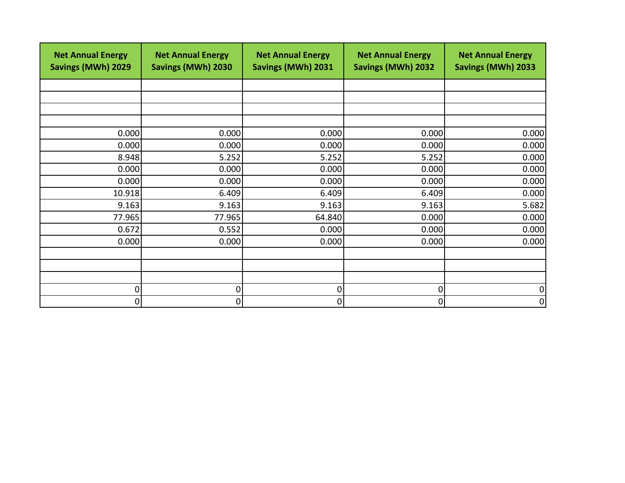| <b>Net Annual Energy</b><br>Savings (MWh) 2029 | <b>Net Annual Energy</b><br>Savings (MWh) 2030 | <b>Net Annual Energy</b><br>Savings (MWh) 2031 | <b>Net Annual Energy</b><br><b>Savings (MWh) 2032</b> | <b>Net Annual Energy</b><br><b>Savings (MWh) 2033</b> |
|------------------------------------------------|------------------------------------------------|------------------------------------------------|-------------------------------------------------------|-------------------------------------------------------|
|                                                |                                                |                                                |                                                       |                                                       |
|                                                |                                                |                                                |                                                       |                                                       |
|                                                |                                                |                                                |                                                       |                                                       |
| 0.000                                          | 0.000                                          | 0.000                                          | 0.000                                                 | 0.000                                                 |
| 0.000                                          | 0.000                                          | 0.000                                          | 0.000                                                 | 0.000                                                 |
| 8.948                                          | 5.252                                          | 5.252                                          | 5.252                                                 | 0.000                                                 |
| 0.000                                          | 0.000                                          | 0.000                                          | 0.000                                                 | 0.000                                                 |
| 0.000                                          | 0.000                                          | 0.000                                          | 0.000                                                 | 0.000                                                 |
| 10.918                                         | 6.409                                          | 6.409                                          | 6.409                                                 | 0.000                                                 |
| 9.163                                          | 9.163                                          | 9.163                                          | 9.163                                                 | 5.682                                                 |
| 77.965                                         | 77.965                                         | 64.840                                         | 0.000                                                 | 0.000                                                 |
| 0.672                                          | 0.552                                          | 0.000                                          | 0.000                                                 | 0.000                                                 |
| 0.000                                          | 0.000                                          | 0.000                                          | 0.000                                                 | 0.000                                                 |
|                                                |                                                |                                                |                                                       |                                                       |
|                                                |                                                |                                                |                                                       |                                                       |
|                                                |                                                |                                                |                                                       |                                                       |
| 0                                              | 0                                              | 0                                              | 0                                                     | 0                                                     |
| 0                                              | 0                                              | 0                                              | 0                                                     | 0                                                     |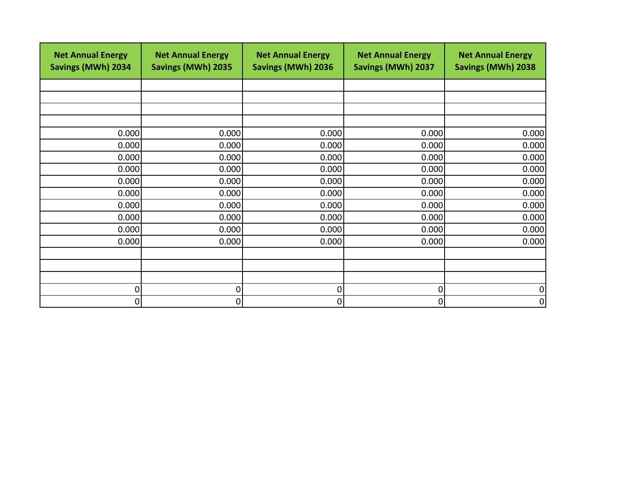| <b>Net Annual Energy</b><br>Savings (MWh) 2034 | <b>Net Annual Energy</b><br>Savings (MWh) 2035 | <b>Net Annual Energy</b><br>Savings (MWh) 2036 | <b>Net Annual Energy</b><br>Savings (MWh) 2037 | <b>Net Annual Energy</b><br>Savings (MWh) 2038 |
|------------------------------------------------|------------------------------------------------|------------------------------------------------|------------------------------------------------|------------------------------------------------|
|                                                |                                                |                                                |                                                |                                                |
|                                                |                                                |                                                |                                                |                                                |
|                                                |                                                |                                                |                                                |                                                |
|                                                |                                                |                                                |                                                |                                                |
| 0.000                                          | 0.000                                          | 0.000                                          | 0.000                                          | 0.000                                          |
| 0.000                                          | 0.000                                          | 0.000                                          | 0.000                                          | 0.000                                          |
| 0.000                                          | 0.000                                          | 0.000                                          | 0.000                                          | 0.000                                          |
| 0.000                                          | 0.000                                          | 0.000                                          | 0.000                                          | 0.000                                          |
| 0.000                                          | 0.000                                          | 0.000                                          | 0.000                                          | 0.000                                          |
| 0.000                                          | 0.000                                          | 0.000                                          | 0.000                                          | 0.000                                          |
| 0.000                                          | 0.000                                          | 0.000                                          | 0.000                                          | 0.000                                          |
| 0.000                                          | 0.000                                          | 0.000                                          | 0.000                                          | 0.000                                          |
| 0.000                                          | 0.000                                          | 0.000                                          | 0.000                                          | 0.000                                          |
| 0.000                                          | 0.000                                          | 0.000                                          | 0.000                                          | 0.000                                          |
|                                                |                                                |                                                |                                                |                                                |
|                                                |                                                |                                                |                                                |                                                |
|                                                |                                                |                                                |                                                |                                                |
| $\overline{0}$                                 | 0                                              | 0                                              | 0                                              | 0                                              |
| $\overline{0}$                                 | 0                                              | 0                                              | 0                                              | 0                                              |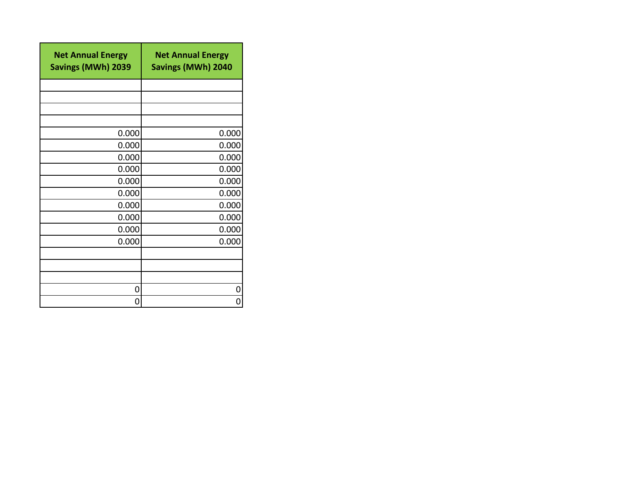| <b>Net Annual Energy</b><br>Savings (MWh) 2039 | <b>Net Annual Energy</b><br><b>Savings (MWh) 2040</b> |
|------------------------------------------------|-------------------------------------------------------|
|                                                |                                                       |
|                                                |                                                       |
|                                                |                                                       |
|                                                |                                                       |
| 0.000                                          | 0.000                                                 |
| 0.000                                          | 0.000                                                 |
| 0.000                                          | 0.000                                                 |
| 0.000                                          | 0.000                                                 |
| 0.000                                          | 0.000                                                 |
| 0.000                                          | 0.000                                                 |
| 0.000                                          | 0.000                                                 |
| 0.000                                          | 0.000                                                 |
| 0.000                                          | 0.000                                                 |
| 0.000                                          | 0.000                                                 |
|                                                |                                                       |
|                                                |                                                       |
|                                                |                                                       |
| 0                                              | 0                                                     |
| 0                                              |                                                       |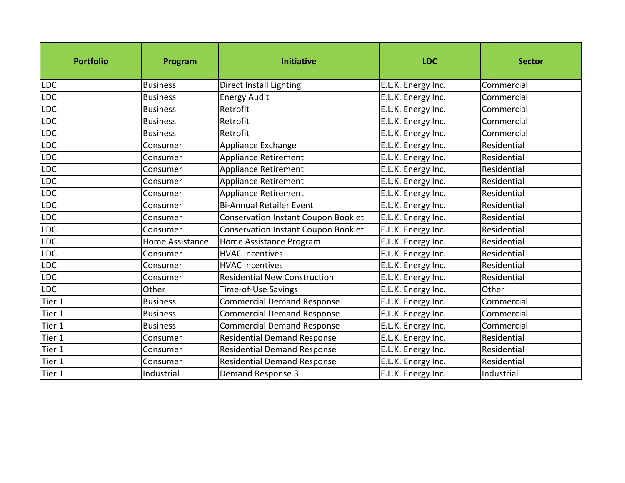| <b>Portfolio</b> | Program         | <b>Initiative</b>                          | <b>LDC</b>         | <b>Sector</b> |
|------------------|-----------------|--------------------------------------------|--------------------|---------------|
| LDC              | <b>Business</b> | Direct Install Lighting                    | E.L.K. Energy Inc. | Commercial    |
| <b>LDC</b>       | <b>Business</b> | <b>Energy Audit</b>                        | E.L.K. Energy Inc. | Commercial    |
| LDC              | <b>Business</b> | Retrofit                                   | E.L.K. Energy Inc. | Commercial    |
| <b>LDC</b>       | <b>Business</b> | Retrofit                                   | E.L.K. Energy Inc. | Commercial    |
| LDC              | <b>Business</b> | Retrofit                                   | E.L.K. Energy Inc. | Commercial    |
| LDC              | Consumer        | Appliance Exchange                         | E.L.K. Energy Inc. | Residential   |
| LDC              | Consumer        | Appliance Retirement                       | E.L.K. Energy Inc. | Residential   |
| LDC              | Consumer        | <b>Appliance Retirement</b>                | E.L.K. Energy Inc. | Residential   |
| LDC              | Consumer        | Appliance Retirement                       | E.L.K. Energy Inc. | Residential   |
| <b>LDC</b>       | Consumer        | Appliance Retirement                       | E.L.K. Energy Inc. | Residential   |
| LDC              | Consumer        | <b>Bi-Annual Retailer Event</b>            | E.L.K. Energy Inc. | Residential   |
| LDC              | Consumer        | <b>Conservation Instant Coupon Booklet</b> | E.L.K. Energy Inc. | Residential   |
| LDC              | Consumer        | Conservation Instant Coupon Booklet        | E.L.K. Energy Inc. | Residential   |
| LDC              | Home Assistance | Home Assistance Program                    | E.L.K. Energy Inc. | Residential   |
| <b>LDC</b>       | Consumer        | <b>HVAC Incentives</b>                     | E.L.K. Energy Inc. | Residential   |
| LDC              | Consumer        | <b>HVAC Incentives</b>                     | E.L.K. Energy Inc. | Residential   |
| <b>LDC</b>       | Consumer        | <b>Residential New Construction</b>        | E.L.K. Energy Inc. | Residential   |
| <b>LDC</b>       | Other           | Time-of-Use Savings                        | E.L.K. Energy Inc. | Other         |
| Tier 1           | <b>Business</b> | <b>Commercial Demand Response</b>          | E.L.K. Energy Inc. | Commercial    |
| Tier 1           | <b>Business</b> | <b>Commercial Demand Response</b>          | E.L.K. Energy Inc. | Commercial    |
| Tier 1           | <b>Business</b> | <b>Commercial Demand Response</b>          | E.L.K. Energy Inc. | Commercial    |
| Tier 1           | Consumer        | <b>Residential Demand Response</b>         | E.L.K. Energy Inc. | Residential   |
| Tier 1           | Consumer        | <b>Residential Demand Response</b>         | E.L.K. Energy Inc. | Residential   |
| Tier 1           | Consumer        | <b>Residential Demand Response</b>         | E.L.K. Energy Inc. | Residential   |
| Tier 1           | Industrial      | Demand Response 3                          | E.L.K. Energy Inc. | Industrial    |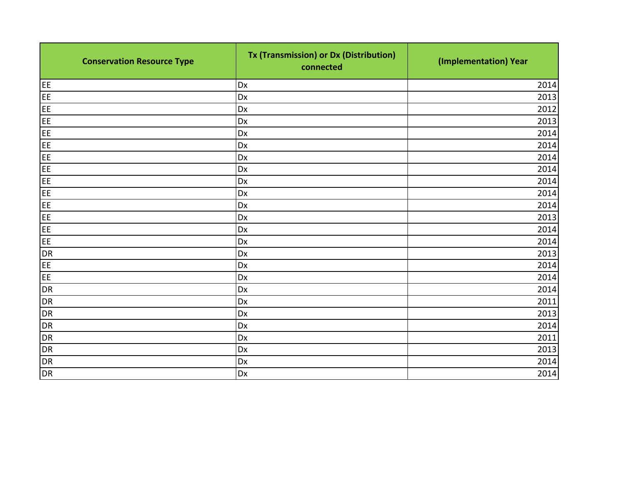| <b>Conservation Resource Type</b> | Tx (Transmission) or Dx (Distribution)<br>connected | (Implementation) Year |
|-----------------------------------|-----------------------------------------------------|-----------------------|
| EE                                | Dx                                                  | 2014                  |
| EE                                | Dx                                                  | 2013                  |
| EE                                | Dx                                                  | 2012                  |
| EE                                | Dx                                                  | 2013                  |
| EE                                | Dx                                                  | 2014                  |
| EE                                | Dx                                                  | 2014                  |
| EE                                | Dx                                                  | 2014                  |
| EE                                | Dx                                                  | 2014                  |
| EE                                | Dx                                                  | 2014                  |
| EE                                | Dx                                                  | 2014                  |
| EE.                               | Dx                                                  | 2014                  |
| EE                                | Dx                                                  | 2013                  |
| EE                                | Dx                                                  | 2014                  |
| EE                                | Dx                                                  | 2014                  |
| <b>DR</b>                         | Dx                                                  | 2013                  |
| EE                                | Dx                                                  | 2014                  |
| EE                                | Dx                                                  | 2014                  |
| <b>DR</b>                         | Dx                                                  | 2014                  |
| <b>DR</b>                         | Dx                                                  | 2011                  |
| <b>DR</b>                         | Dx                                                  | 2013                  |
| <b>DR</b>                         | Dx                                                  | 2014                  |
| <b>DR</b>                         | Dx                                                  | 2011                  |
| <b>DR</b>                         | Dx                                                  | 2013                  |
| <b>DR</b>                         | Dx                                                  | 2014                  |
| DR                                | Dx                                                  | 2014                  |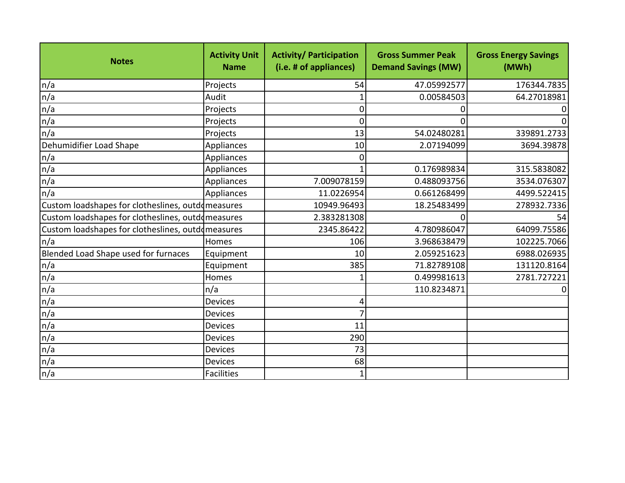| <b>Notes</b>                                      | <b>Activity Unit</b><br><b>Name</b> | <b>Activity/ Participation</b><br>(i.e. # of appliances) | <b>Gross Summer Peak</b><br><b>Demand Savings (MW)</b> | <b>Gross Energy Savings</b><br>(MWh) |
|---------------------------------------------------|-------------------------------------|----------------------------------------------------------|--------------------------------------------------------|--------------------------------------|
| n/a                                               | Projects                            | 54                                                       | 47.05992577                                            | 176344.7835                          |
| n/a                                               | Audit                               |                                                          | 0.00584503                                             | 64.27018981                          |
| n/a                                               | Projects                            | 0                                                        |                                                        |                                      |
| n/a                                               | Projects                            | 0                                                        |                                                        |                                      |
| n/a                                               | Projects                            | 13                                                       | 54.02480281                                            | 339891.2733                          |
| Dehumidifier Load Shape                           | Appliances                          | 10                                                       | 2.07194099                                             | 3694.39878                           |
| n/a                                               | Appliances                          | 0                                                        |                                                        |                                      |
| n/a                                               | Appliances                          |                                                          | 0.176989834                                            | 315.5838082                          |
| n/a                                               | Appliances                          | 7.009078159                                              | 0.488093756                                            | 3534.076307                          |
| n/a                                               | Appliances                          | 11.0226954                                               | 0.661268499                                            | 4499.522415                          |
| Custom loadshapes for clotheslines, outdomeasures |                                     | 10949.96493                                              | 18.25483499                                            | 278932.7336                          |
| Custom loadshapes for clotheslines, outdomeasures |                                     | 2.383281308                                              | <sup>0</sup>                                           | 54                                   |
| Custom loadshapes for clotheslines, outdomeasures |                                     | 2345.86422                                               | 4.780986047                                            | 64099.75586                          |
| n/a                                               | Homes                               | 106                                                      | 3.968638479                                            | 102225.7066                          |
| Blended Load Shape used for furnaces              | Equipment                           | 10                                                       | 2.059251623                                            | 6988.026935                          |
| n/a                                               | Equipment                           | 385                                                      | 71.82789108                                            | 131120.8164                          |
| n/a                                               | Homes                               |                                                          | 0.499981613                                            | 2781.727221                          |
| n/a                                               | n/a                                 |                                                          | 110.8234871                                            |                                      |
| n/a                                               | Devices                             | 4                                                        |                                                        |                                      |
| n/a                                               | Devices                             | $\overline{7}$                                           |                                                        |                                      |
| n/a                                               | <b>Devices</b>                      | 11                                                       |                                                        |                                      |
| n/a                                               | Devices                             | 290                                                      |                                                        |                                      |
| n/a                                               | Devices                             | 73                                                       |                                                        |                                      |
| n/a                                               | <b>Devices</b>                      | 68                                                       |                                                        |                                      |
| n/a                                               | Facilities                          |                                                          |                                                        |                                      |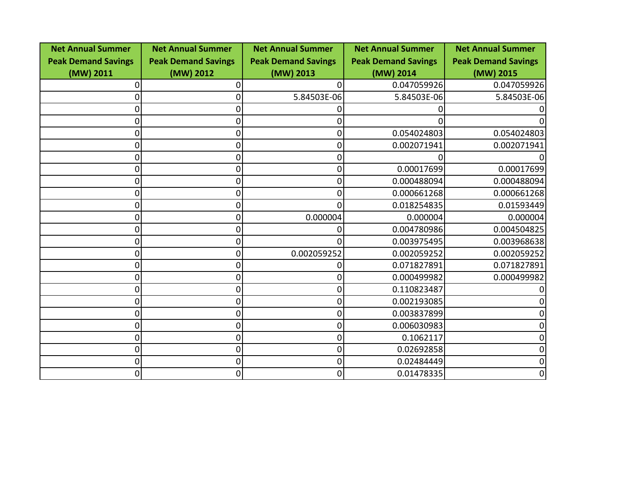| <b>Net Annual Summer</b>   | <b>Net Annual Summer</b>   | <b>Net Annual Summer</b>   | <b>Net Annual Summer</b>   | <b>Net Annual Summer</b>   |
|----------------------------|----------------------------|----------------------------|----------------------------|----------------------------|
| <b>Peak Demand Savings</b> | <b>Peak Demand Savings</b> | <b>Peak Demand Savings</b> | <b>Peak Demand Savings</b> | <b>Peak Demand Savings</b> |
| (MW) 2011                  | (MW) 2012                  | (MW) 2013                  | (MW) 2014                  | (MW) 2015                  |
|                            |                            | 0                          | 0.047059926                | 0.047059926                |
| 0                          |                            | 5.84503E-06                | 5.84503E-06                | 5.84503E-06                |
| 0                          |                            |                            |                            |                            |
| 0                          |                            | 0                          |                            |                            |
| 0                          |                            | 0                          | 0.054024803                | 0.054024803                |
| 0                          | 0                          | $\overline{0}$             | 0.002071941                | 0.002071941                |
| 0                          |                            | 0                          |                            |                            |
| 0                          |                            | $\Omega$                   | 0.00017699                 | 0.00017699                 |
| 0                          |                            | 0                          | 0.000488094                | 0.000488094                |
| 0                          |                            | 0                          | 0.000661268                | 0.000661268                |
| 0                          | O                          | U                          | 0.018254835                | 0.01593449                 |
| 0                          | 0                          | 0.000004                   | 0.000004                   | 0.000004                   |
| 0                          |                            | U                          | 0.004780986                | 0.004504825                |
| 0                          |                            | U                          | 0.003975495                | 0.003968638                |
| 0                          | 0                          | 0.002059252                | 0.002059252                | 0.002059252                |
| 0                          |                            | 0                          | 0.071827891                | 0.071827891                |
| 0                          |                            | 0                          | 0.000499982                | 0.000499982                |
| 0                          | 0                          | 0                          | 0.110823487                |                            |
| 0                          |                            | 0                          | 0.002193085                | 0                          |
| 0                          | ი                          | $\overline{0}$             | 0.003837899                | 0                          |
| 0                          | 0                          | $\overline{0}$             | 0.006030983                | 0                          |
| 0                          |                            | $\overline{0}$             | 0.1062117                  | 0                          |
| 0                          | O                          | $\overline{0}$             | 0.02692858                 | 0                          |
| 0                          | 0                          | $\overline{0}$             | 0.02484449                 | 0                          |
| 0                          | 0                          | 0                          | 0.01478335                 | 0                          |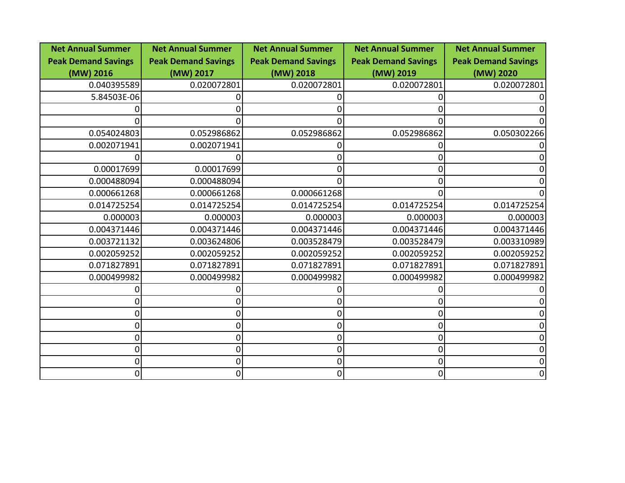| <b>Net Annual Summer</b>   | <b>Net Annual Summer</b>   | <b>Net Annual Summer</b>   | <b>Net Annual Summer</b>   | <b>Net Annual Summer</b>   |
|----------------------------|----------------------------|----------------------------|----------------------------|----------------------------|
| <b>Peak Demand Savings</b> | <b>Peak Demand Savings</b> | <b>Peak Demand Savings</b> | <b>Peak Demand Savings</b> | <b>Peak Demand Savings</b> |
| (MW) 2016                  | (MW) 2017                  | (MW) 2018                  | (MW) 2019                  | (MW) 2020                  |
| 0.040395589                | 0.020072801                | 0.020072801                | 0.020072801                | 0.020072801                |
| 5.84503E-06                |                            |                            |                            |                            |
|                            |                            |                            |                            |                            |
|                            |                            | 0                          |                            |                            |
| 0.054024803                | 0.052986862                | 0.052986862                | 0.052986862                | 0.050302266                |
| 0.002071941                | 0.002071941                |                            |                            |                            |
|                            |                            | O                          |                            |                            |
| 0.00017699                 | 0.00017699                 |                            |                            |                            |
| 0.000488094                | 0.000488094                |                            |                            |                            |
| 0.000661268                | 0.000661268                | 0.000661268                |                            |                            |
| 0.014725254                | 0.014725254                | 0.014725254                | 0.014725254                | 0.014725254                |
| 0.000003                   | 0.000003                   | 0.000003                   | 0.000003                   | 0.000003                   |
| 0.004371446                | 0.004371446                | 0.004371446                | 0.004371446                | 0.004371446                |
| 0.003721132                | 0.003624806                | 0.003528479                | 0.003528479                | 0.003310989                |
| 0.002059252                | 0.002059252                | 0.002059252                | 0.002059252                | 0.002059252                |
| 0.071827891                | 0.071827891                | 0.071827891                | 0.071827891                | 0.071827891                |
| 0.000499982                | 0.000499982                | 0.000499982                | 0.000499982                | 0.000499982                |
|                            |                            |                            |                            |                            |
|                            |                            | Ω                          |                            |                            |
| 0                          |                            | 0                          |                            |                            |
| 0                          |                            | 0                          |                            |                            |
| 0                          |                            | 0                          |                            |                            |
| 0                          | 0                          | $\overline{0}$             |                            |                            |
| 0                          | 0                          | $\overline{0}$             |                            |                            |
| 0                          | 0                          | $\overline{0}$             |                            | 0                          |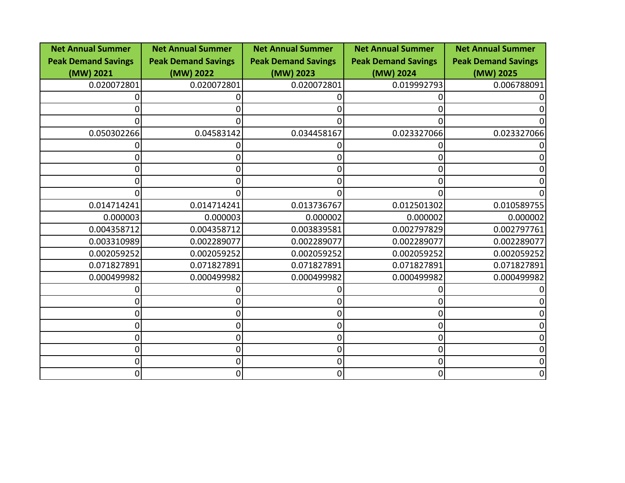| <b>Net Annual Summer</b>   | <b>Net Annual Summer</b>   | <b>Net Annual Summer</b>   | <b>Net Annual Summer</b>   | <b>Net Annual Summer</b>   |
|----------------------------|----------------------------|----------------------------|----------------------------|----------------------------|
| <b>Peak Demand Savings</b> | <b>Peak Demand Savings</b> | <b>Peak Demand Savings</b> | <b>Peak Demand Savings</b> | <b>Peak Demand Savings</b> |
| (MW) 2021                  | (MW) 2022                  | (MW) 2023                  | (MW) 2024                  | (MW) 2025                  |
| 0.020072801                | 0.020072801                | 0.020072801                | 0.019992793                | 0.006788091                |
|                            |                            |                            |                            |                            |
|                            |                            | 0                          |                            |                            |
| 0                          |                            | 0                          |                            |                            |
| 0.050302266                | 0.04583142                 | 0.034458167                | 0.023327066                | 0.023327066                |
|                            |                            |                            |                            |                            |
|                            |                            | 0                          |                            |                            |
|                            |                            |                            |                            |                            |
|                            |                            |                            |                            |                            |
|                            |                            | 0                          |                            |                            |
| 0.014714241                | 0.014714241                | 0.013736767                | 0.012501302                | 0.010589755                |
| 0.000003                   | 0.000003                   | 0.000002                   | 0.000002                   | 0.000002                   |
| 0.004358712                | 0.004358712                | 0.003839581                | 0.002797829                | 0.002797761                |
| 0.003310989                | 0.002289077                | 0.002289077                | 0.002289077                | 0.002289077                |
| 0.002059252                | 0.002059252                | 0.002059252                | 0.002059252                | 0.002059252                |
| 0.071827891                | 0.071827891                | 0.071827891                | 0.071827891                | 0.071827891                |
| 0.000499982                | 0.000499982                | 0.000499982                | 0.000499982                | 0.000499982                |
|                            |                            |                            |                            |                            |
|                            |                            | 0                          |                            |                            |
| 0                          |                            | 0                          |                            |                            |
| 0                          |                            | 0                          |                            |                            |
| 0                          |                            | 0                          |                            |                            |
| 0                          | 0                          | $\overline{0}$             |                            |                            |
| 0                          | 0                          | $\overline{0}$             |                            |                            |
| 0                          | 0                          | $\overline{0}$             |                            | 0                          |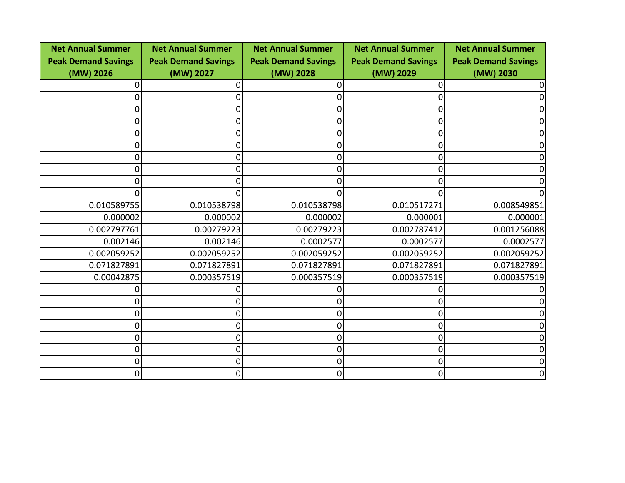| <b>Net Annual Summer</b>   | <b>Net Annual Summer</b>   | <b>Net Annual Summer</b>   | <b>Net Annual Summer</b>   | <b>Net Annual Summer</b>   |
|----------------------------|----------------------------|----------------------------|----------------------------|----------------------------|
| <b>Peak Demand Savings</b> | <b>Peak Demand Savings</b> | <b>Peak Demand Savings</b> | <b>Peak Demand Savings</b> | <b>Peak Demand Savings</b> |
| (MW) 2026                  | (MW) 2027                  | (MW) 2028                  | (MW) 2029                  | (MW) 2030                  |
|                            |                            |                            |                            |                            |
|                            |                            | 0                          |                            |                            |
| 0                          |                            | 0                          |                            |                            |
| 0                          |                            | 0                          |                            |                            |
| O                          |                            | 0                          |                            |                            |
| 0                          |                            | 0                          |                            |                            |
| 0                          |                            | 0                          |                            |                            |
|                            |                            | O                          |                            |                            |
|                            |                            |                            |                            |                            |
|                            |                            | 0                          |                            |                            |
| 0.010589755                | 0.010538798                | 0.010538798                | 0.010517271                | 0.008549851                |
| 0.000002                   | 0.000002                   | 0.000002                   | 0.000001                   | 0.000001                   |
| 0.002797761                | 0.00279223                 | 0.00279223                 | 0.002787412                | 0.001256088                |
| 0.002146                   | 0.002146                   | 0.0002577                  | 0.0002577                  | 0.0002577                  |
| 0.002059252                | 0.002059252                | 0.002059252                | 0.002059252                | 0.002059252                |
| 0.071827891                | 0.071827891                | 0.071827891                | 0.071827891                | 0.071827891                |
| 0.00042875                 | 0.000357519                | 0.000357519                | 0.000357519                | 0.000357519                |
|                            |                            |                            |                            |                            |
|                            |                            | 0                          |                            |                            |
| 0                          |                            | 0                          |                            |                            |
| 0                          |                            | 0                          |                            |                            |
| 0                          |                            | 0                          |                            |                            |
| 0                          | 0                          | $\overline{0}$             |                            |                            |
| 0                          | 0                          | $\overline{0}$             |                            |                            |
| 0                          | 0                          | 0                          |                            | 0                          |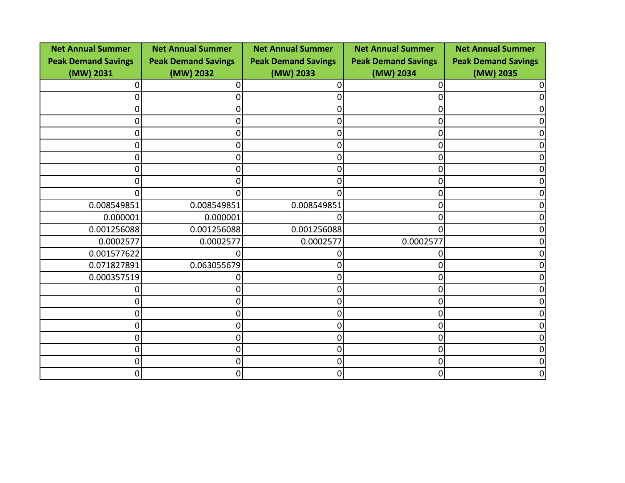| <b>Net Annual Summer</b>   | <b>Net Annual Summer</b>   | <b>Net Annual Summer</b>   | <b>Net Annual Summer</b>   | <b>Net Annual Summer</b>   |
|----------------------------|----------------------------|----------------------------|----------------------------|----------------------------|
| <b>Peak Demand Savings</b> | <b>Peak Demand Savings</b> | <b>Peak Demand Savings</b> | <b>Peak Demand Savings</b> | <b>Peak Demand Savings</b> |
| (MW) 2031                  | (MW) 2032                  | (MW) 2033                  | (MW) 2034                  | (MW) 2035                  |
| 0                          |                            |                            |                            |                            |
| 0                          |                            | 0                          |                            |                            |
| 0                          | 0                          | 0                          |                            |                            |
| 0                          | 0                          | 0                          |                            |                            |
| 0                          | 0                          | 0                          |                            |                            |
| 0                          | 0                          | 0                          |                            |                            |
| 0                          | 0                          | 0                          |                            |                            |
| 0                          | O                          | O                          |                            |                            |
| 0                          | 0                          | 0                          |                            |                            |
| 0                          | U                          | U                          |                            |                            |
| 0.008549851                | 0.008549851                | 0.008549851                |                            |                            |
| 0.000001                   | 0.000001                   |                            |                            |                            |
| 0.001256088                | 0.001256088                | 0.001256088                |                            |                            |
| 0.0002577                  | 0.0002577                  | 0.0002577                  | 0.0002577                  |                            |
| 0.001577622                | O                          |                            |                            |                            |
| 0.071827891                | 0.063055679                |                            |                            |                            |
| 0.000357519                |                            |                            |                            |                            |
|                            |                            | 0                          |                            |                            |
| 0                          |                            | O                          |                            |                            |
| 0                          |                            | O                          |                            |                            |
| 0                          | 0                          | 0                          |                            |                            |
| 0                          | 0                          | 0                          |                            |                            |
| 0                          | 0                          | 0                          |                            |                            |
| 0                          | 0                          | 0                          |                            |                            |
| 0                          | 0                          | 0                          |                            |                            |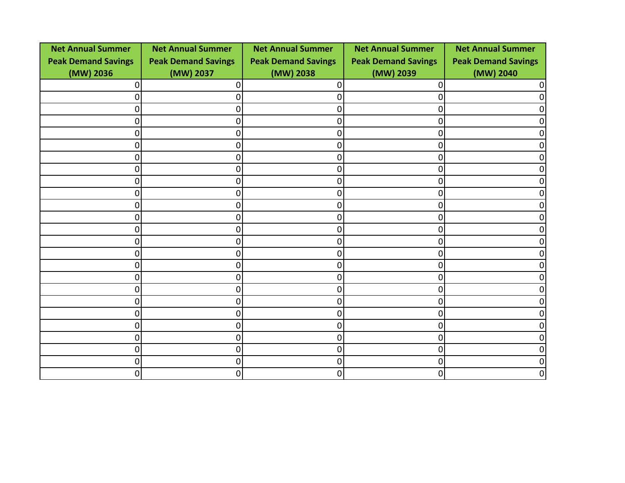| <b>Net Annual Summer</b>   | <b>Net Annual Summer</b>   | <b>Net Annual Summer</b>   | <b>Net Annual Summer</b>   | <b>Net Annual Summer</b>   |
|----------------------------|----------------------------|----------------------------|----------------------------|----------------------------|
| <b>Peak Demand Savings</b> | <b>Peak Demand Savings</b> | <b>Peak Demand Savings</b> | <b>Peak Demand Savings</b> | <b>Peak Demand Savings</b> |
| (MW) 2036                  | (MW) 2037                  | (MW) 2038                  | (MW) 2039                  | (MW) 2040                  |
| O                          | ი                          | 0                          |                            |                            |
| 0                          | 0                          | 0                          |                            |                            |
| 0                          | 0                          | 0                          |                            |                            |
| 0                          | 0                          | 0                          | Ω                          |                            |
| 0                          | 0                          | $\overline{0}$             |                            |                            |
| 0                          | 0                          | 0                          | O                          |                            |
| 0                          | 0                          | $\overline{0}$             | Ω                          |                            |
| 0                          | 0                          | $\overline{0}$             |                            |                            |
| 0                          | 0                          | $\overline{0}$             |                            |                            |
| 0                          | 0                          | $\overline{0}$             | O                          |                            |
| 0                          | 0                          | $\overline{0}$             |                            |                            |
| 0                          | 0                          | $\overline{0}$             |                            |                            |
| 0                          | 0                          | $\overline{0}$             | O                          |                            |
| 0                          | 0                          | $\overline{0}$             |                            |                            |
| 0                          | 0                          | $\overline{0}$             |                            |                            |
| 0                          | ი                          | 0                          |                            |                            |
| 0                          | 0                          | $\overline{0}$             |                            |                            |
| 0                          | 0                          | $\overline{0}$             |                            |                            |
| 0                          | N                          | 0                          |                            |                            |
| 0                          | 0                          | $\overline{0}$             |                            |                            |
| 0                          | 0                          | $\overline{0}$             | Ω                          |                            |
| 0                          | N                          | 0                          |                            |                            |
| 0                          | 0                          | $\overline{0}$             |                            |                            |
| 0                          | 0                          | $\overline{0}$             |                            |                            |
| 0                          | 0                          | 0                          | O                          | 0                          |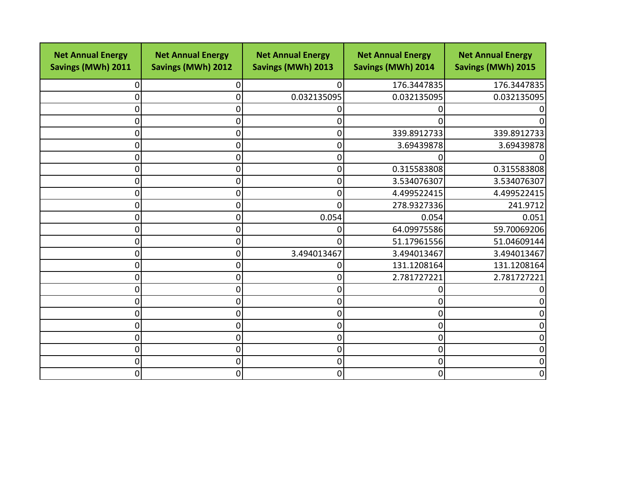| <b>Net Annual Energy</b><br>Savings (MWh) 2011 | <b>Net Annual Energy</b><br><b>Savings (MWh) 2012</b> | <b>Net Annual Energy</b><br><b>Savings (MWh) 2013</b> | <b>Net Annual Energy</b><br><b>Savings (MWh) 2014</b> | <b>Net Annual Energy</b><br><b>Savings (MWh) 2015</b> |
|------------------------------------------------|-------------------------------------------------------|-------------------------------------------------------|-------------------------------------------------------|-------------------------------------------------------|
| 0                                              | 0                                                     | $\Omega$                                              | 176.3447835                                           | 176.3447835                                           |
| 0                                              | 0                                                     | 0.032135095                                           | 0.032135095                                           | 0.032135095                                           |
| 0                                              | 0                                                     | 0                                                     |                                                       |                                                       |
| 0                                              | $\Omega$                                              | 0                                                     | 0                                                     | O                                                     |
| 0                                              | 0                                                     | $\overline{0}$                                        | 339.8912733                                           | 339.8912733                                           |
| 0                                              | 0                                                     | 0                                                     | 3.69439878                                            | 3.69439878                                            |
| 0                                              | 0                                                     | 0                                                     |                                                       |                                                       |
| $\boldsymbol{0}$                               | 0                                                     | $\overline{0}$                                        | 0.315583808                                           | 0.315583808                                           |
| 0                                              | 0                                                     | 0                                                     | 3.534076307                                           | 3.534076307                                           |
| 0                                              | 0                                                     | 0                                                     | 4.499522415                                           | 4.499522415                                           |
| 0                                              | 0                                                     | 0                                                     | 278.9327336                                           | 241.9712                                              |
| 0                                              | 0                                                     | 0.054                                                 | 0.054                                                 | 0.051                                                 |
| 0                                              | 0                                                     | 0                                                     | 64.09975586                                           | 59.70069206                                           |
| 0                                              | 0                                                     | $\Omega$                                              | 51.17961556                                           | 51.04609144                                           |
| 0                                              | 0                                                     | 3.494013467                                           | 3.494013467                                           | 3.494013467                                           |
| 0                                              | 0                                                     | 0                                                     | 131.1208164                                           | 131.1208164                                           |
| 0                                              | 0                                                     | 0                                                     | 2.781727221                                           | 2.781727221                                           |
| 0                                              | 0                                                     | 0                                                     |                                                       |                                                       |
| 0                                              | 0                                                     | 0                                                     |                                                       | 0                                                     |
| $\boldsymbol{0}$                               | 0                                                     | 0                                                     | O                                                     | 0                                                     |
| 0                                              | 0                                                     | 0                                                     | 0                                                     | 0                                                     |
| 0                                              | 0                                                     | 0                                                     | 0                                                     | $\overline{0}$                                        |
| $\boldsymbol{0}$                               | 0                                                     | $\overline{0}$                                        | 0                                                     | 0                                                     |
| 0                                              | 0                                                     | 0                                                     | 0                                                     | 0                                                     |
| 0                                              | 0                                                     | $\overline{0}$                                        | 0                                                     | $\overline{0}$                                        |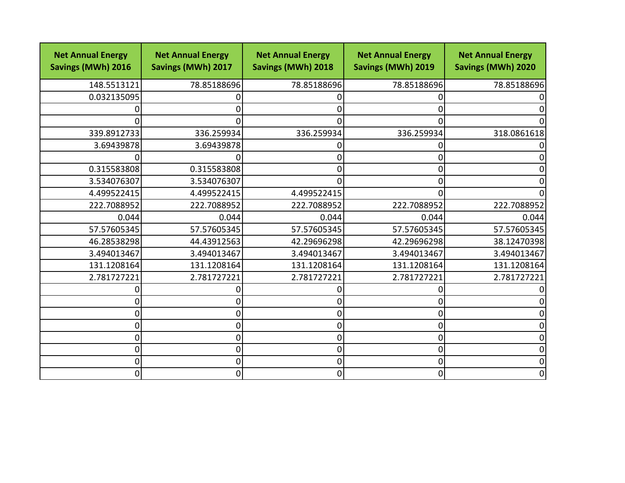| <b>Net Annual Energy</b><br>Savings (MWh) 2016 | <b>Net Annual Energy</b><br>Savings (MWh) 2017 | <b>Net Annual Energy</b><br><b>Savings (MWh) 2018</b> | <b>Net Annual Energy</b><br><b>Savings (MWh) 2019</b> | <b>Net Annual Energy</b><br>Savings (MWh) 2020 |
|------------------------------------------------|------------------------------------------------|-------------------------------------------------------|-------------------------------------------------------|------------------------------------------------|
| 148.5513121                                    | 78.85188696                                    | 78.85188696                                           | 78.85188696                                           | 78.85188696                                    |
| 0.032135095                                    |                                                | 0                                                     |                                                       |                                                |
|                                                |                                                | 0                                                     |                                                       |                                                |
|                                                |                                                | 0                                                     |                                                       |                                                |
| 339.8912733                                    | 336.259934                                     | 336.259934                                            | 336.259934                                            | 318.0861618                                    |
| 3.69439878                                     | 3.69439878                                     | 0                                                     |                                                       |                                                |
|                                                | O                                              | 0                                                     |                                                       |                                                |
| 0.315583808                                    | 0.315583808                                    | 0                                                     |                                                       |                                                |
| 3.534076307                                    | 3.534076307                                    | 0                                                     |                                                       |                                                |
| 4.499522415                                    | 4.499522415                                    | 4.499522415                                           |                                                       |                                                |
| 222.7088952                                    | 222.7088952                                    | 222.7088952                                           | 222.7088952                                           | 222.7088952                                    |
| 0.044                                          | 0.044                                          | 0.044                                                 | 0.044                                                 | 0.044                                          |
| 57.57605345                                    | 57.57605345                                    | 57.57605345                                           | 57.57605345                                           | 57.57605345                                    |
| 46.28538298                                    | 44.43912563                                    | 42.29696298                                           | 42.29696298                                           | 38.12470398                                    |
| 3.494013467                                    | 3.494013467                                    | 3.494013467                                           | 3.494013467                                           | 3.494013467                                    |
| 131.1208164                                    | 131.1208164                                    | 131.1208164                                           | 131.1208164                                           | 131.1208164                                    |
| 2.781727221                                    | 2.781727221                                    | 2.781727221                                           | 2.781727221                                           | 2.781727221                                    |
|                                                |                                                | 0                                                     |                                                       |                                                |
| 0                                              |                                                | 0                                                     |                                                       |                                                |
| 0                                              | 0                                              | $\overline{0}$                                        |                                                       |                                                |
| 0                                              | ი                                              | $\overline{0}$                                        | ი                                                     |                                                |
| 0                                              | 0                                              | 0                                                     |                                                       | n                                              |
| 0                                              | $\Omega$                                       | $\overline{0}$                                        | O                                                     |                                                |
| 0                                              | 0                                              | $\overline{0}$                                        | O                                                     |                                                |
| 0                                              | 0                                              | $\overline{0}$                                        |                                                       | 0                                              |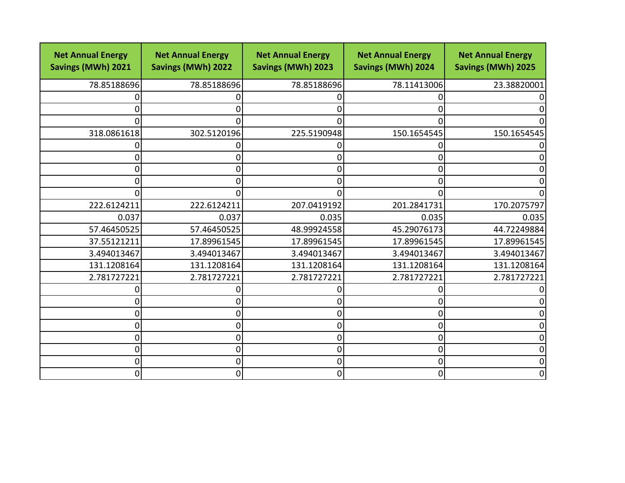| <b>Net Annual Energy</b><br>Savings (MWh) 2021 | <b>Net Annual Energy</b><br><b>Savings (MWh) 2022</b> | <b>Net Annual Energy</b><br><b>Savings (MWh) 2023</b> | <b>Net Annual Energy</b><br><b>Savings (MWh) 2024</b> | <b>Net Annual Energy</b><br><b>Savings (MWh) 2025</b> |
|------------------------------------------------|-------------------------------------------------------|-------------------------------------------------------|-------------------------------------------------------|-------------------------------------------------------|
| 78.85188696                                    | 78.85188696                                           | 78.85188696                                           | 78.11413006                                           | 23.38820001                                           |
|                                                |                                                       | $\Omega$                                              |                                                       |                                                       |
| 0                                              |                                                       | 0                                                     |                                                       |                                                       |
| 0                                              | O                                                     | $\Omega$                                              |                                                       |                                                       |
| 318.0861618                                    | 302.5120196                                           | 225.5190948                                           | 150.1654545                                           | 150.1654545                                           |
|                                                |                                                       | 0                                                     |                                                       |                                                       |
| 0                                              | ი                                                     | 0                                                     |                                                       |                                                       |
| 0                                              | ი                                                     | 0                                                     |                                                       |                                                       |
| 0                                              |                                                       | 0                                                     |                                                       |                                                       |
| 0                                              | O                                                     | 0                                                     |                                                       |                                                       |
| 222.6124211                                    | 222.6124211                                           | 207.0419192                                           | 201.2841731                                           | 170.2075797                                           |
| 0.037                                          | 0.037                                                 | 0.035                                                 | 0.035                                                 | 0.035                                                 |
| 57.46450525                                    | 57.46450525                                           | 48.99924558                                           | 45.29076173                                           | 44.72249884                                           |
| 37.55121211                                    | 17.89961545                                           | 17.89961545                                           | 17.89961545                                           | 17.89961545                                           |
| 3.494013467                                    | 3.494013467                                           | 3.494013467                                           | 3.494013467                                           | 3.494013467                                           |
| 131.1208164                                    | 131.1208164                                           | 131.1208164                                           | 131.1208164                                           | 131.1208164                                           |
| 2.781727221                                    | 2.781727221                                           | 2.781727221                                           | 2.781727221                                           | 2.781727221                                           |
|                                                |                                                       | 0                                                     |                                                       |                                                       |
| 0                                              |                                                       | 0                                                     |                                                       |                                                       |
| 0                                              | ი                                                     | $\overline{0}$                                        |                                                       |                                                       |
| 0                                              | ი                                                     | 0                                                     |                                                       |                                                       |
| 0                                              | 0                                                     | 0                                                     |                                                       |                                                       |
| 0                                              | $\Omega$                                              | $\overline{0}$                                        |                                                       |                                                       |
| 0                                              | 0                                                     | $\overline{0}$                                        | ⋂                                                     |                                                       |
| 0                                              | 0                                                     | $\overline{0}$                                        |                                                       | 0                                                     |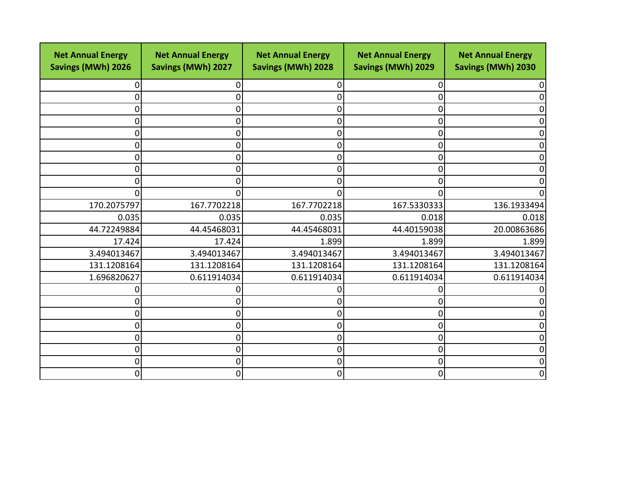| <b>Net Annual Energy</b><br>Savings (MWh) 2026 | <b>Net Annual Energy</b><br><b>Savings (MWh) 2027</b> | <b>Net Annual Energy</b><br>Savings (MWh) 2028 | <b>Net Annual Energy</b><br><b>Savings (MWh) 2029</b> | <b>Net Annual Energy</b><br>Savings (MWh) 2030 |
|------------------------------------------------|-------------------------------------------------------|------------------------------------------------|-------------------------------------------------------|------------------------------------------------|
| 0                                              | 0                                                     | 0                                              | 0                                                     |                                                |
| 0                                              | 0                                                     | 0                                              |                                                       |                                                |
| 0                                              | 0                                                     | 0                                              |                                                       |                                                |
| 0                                              | 0                                                     | 0                                              | ი                                                     |                                                |
| 0                                              | 0                                                     | 0                                              | O                                                     |                                                |
| 0                                              | 0                                                     | 0                                              | በ                                                     |                                                |
| 0                                              | 0                                                     | 0                                              | ი                                                     |                                                |
| 0                                              | 0                                                     | 0                                              | O                                                     |                                                |
| 0                                              | 0                                                     | 0                                              |                                                       |                                                |
| 0                                              | 0                                                     | O                                              | n                                                     |                                                |
| 170.2075797                                    | 167.7702218                                           | 167.7702218                                    | 167.5330333                                           | 136.1933494                                    |
| 0.035                                          | 0.035                                                 | 0.035                                          | 0.018                                                 | 0.018                                          |
| 44.72249884                                    | 44.45468031                                           | 44.45468031                                    | 44.40159038                                           | 20.00863686                                    |
| 17.424                                         | 17.424                                                | 1.899                                          | 1.899                                                 | 1.899                                          |
| 3.494013467                                    | 3.494013467                                           | 3.494013467                                    | 3.494013467                                           | 3.494013467                                    |
| 131.1208164                                    | 131.1208164                                           | 131.1208164                                    | 131.1208164                                           | 131.1208164                                    |
| 1.696820627                                    | 0.611914034                                           | 0.611914034                                    | 0.611914034                                           | 0.611914034                                    |
| 0                                              |                                                       |                                                |                                                       |                                                |
| 0                                              | 0                                                     | 0                                              | Ω                                                     |                                                |
| 0                                              | 0                                                     | 0                                              |                                                       |                                                |
| 0                                              | 0                                                     | 0                                              | ⋂                                                     |                                                |
| 0                                              | 0                                                     | 0                                              | ი                                                     |                                                |
| $\mathbf 0$                                    | 0                                                     | 0                                              | 0                                                     |                                                |
| 0                                              | 0                                                     | 0                                              | ი                                                     |                                                |
| 0                                              | 0                                                     | 0                                              | O                                                     | 0                                              |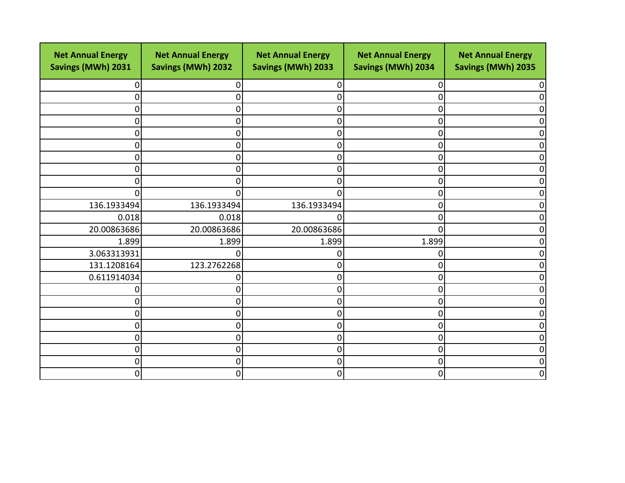| <b>Net Annual Energy</b><br>Savings (MWh) 2031 | <b>Net Annual Energy</b><br><b>Savings (MWh) 2032</b> | <b>Net Annual Energy</b><br>Savings (MWh) 2033 | <b>Net Annual Energy</b><br>Savings (MWh) 2034 | <b>Net Annual Energy</b><br>Savings (MWh) 2035 |
|------------------------------------------------|-------------------------------------------------------|------------------------------------------------|------------------------------------------------|------------------------------------------------|
| 0                                              | 0                                                     | 0                                              | 0                                              |                                                |
| 0                                              | 0                                                     | 0                                              |                                                |                                                |
| 0                                              | 0                                                     | 0                                              |                                                |                                                |
| 0                                              | 0                                                     | 0                                              | Ω                                              |                                                |
| 0                                              | 0                                                     | 0                                              |                                                |                                                |
| 0                                              | 0                                                     | 0                                              | Ω                                              |                                                |
| 0                                              | 0                                                     | 0                                              | U                                              |                                                |
| 0                                              | 0                                                     | 0                                              |                                                |                                                |
| 0                                              | 0                                                     | 0                                              |                                                |                                                |
| 0                                              | 0                                                     | O                                              | Ω                                              |                                                |
| 136.1933494                                    | 136.1933494                                           | 136.1933494                                    | 0                                              |                                                |
| 0.018                                          | 0.018                                                 | ი                                              | ∩                                              |                                                |
| 20.00863686                                    | 20.00863686                                           | 20.00863686                                    | O                                              |                                                |
| 1.899                                          | 1.899                                                 | 1.899                                          | 1.899                                          |                                                |
| 3.063313931                                    | 0                                                     | ი                                              |                                                |                                                |
| 131.1208164                                    | 123.2762268                                           | 0                                              |                                                |                                                |
| 0.611914034                                    | 0                                                     | 0                                              |                                                |                                                |
| 0                                              | ი                                                     | 0                                              |                                                |                                                |
| 0                                              | 0                                                     | 0                                              | O                                              |                                                |
| 0                                              | 0                                                     | 0                                              | O                                              |                                                |
| 0                                              | 0                                                     | 0                                              | ⋂                                              |                                                |
| 0                                              | 0                                                     | 0                                              | ი                                              |                                                |
| $\mathbf 0$                                    | 0                                                     | 0                                              | ი                                              |                                                |
| 0                                              | 0                                                     | 0                                              | ⋂                                              |                                                |
| 0                                              | 0                                                     | 0                                              | O                                              | O                                              |